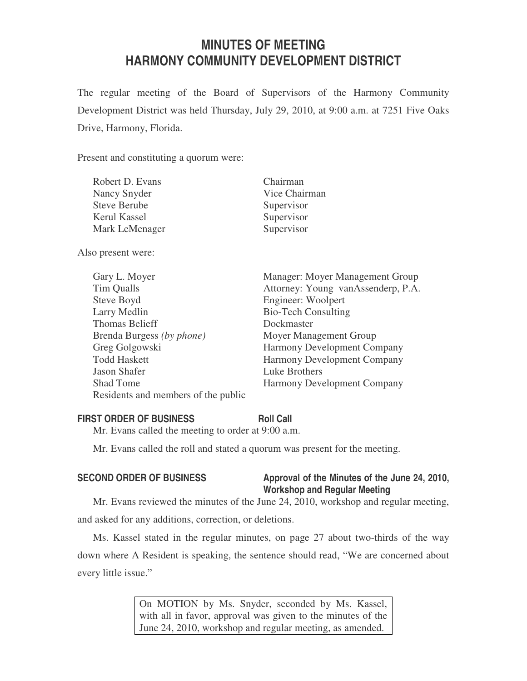# **MINUTES OF MEETING HARMONY COMMUNITY DEVELOPMENT DISTRICT**

The regular meeting of the Board of Supervisors of the Harmony Community Development District was held Thursday, July 29, 2010, at 9:00 a.m. at 7251 Five Oaks Drive, Harmony, Florida.

Present and constituting a quorum were:

| Robert D. Evans     | Chairman      |
|---------------------|---------------|
| Nancy Snyder        | Vice Chairman |
| <b>Steve Berube</b> | Supervisor    |
| Kerul Kassel        | Supervisor    |
| Mark LeMenager      | Supervisor    |
|                     |               |

Also present were:

| Gary L. Moyer                       | Manager: Moyer Management Group    |
|-------------------------------------|------------------------------------|
| Tim Qualls                          | Attorney: Young vanAssenderp, P.A. |
| Steve Boyd                          | Engineer: Woolpert                 |
| Larry Medlin                        | <b>Bio-Tech Consulting</b>         |
| <b>Thomas Belieff</b>               | Dockmaster                         |
| Brenda Burgess (by phone)           | Moyer Management Group             |
| Greg Golgowski                      | Harmony Development Company        |
| <b>Todd Haskett</b>                 | <b>Harmony Development Company</b> |
| Jason Shafer                        | Luke Brothers                      |
| <b>Shad Tome</b>                    | <b>Harmony Development Company</b> |
| Residents and members of the public |                                    |

# **FIRST ORDER OF BUSINESS Roll Call**

Mr. Evans called the meeting to order at 9:00 a.m.

Mr. Evans called the roll and stated a quorum was present for the meeting.

# SECOND ORDER OF BUSINESS Approval of the Minutes of the June 24, 2010, **Workshop and Regular Meeting**

Mr. Evans reviewed the minutes of the June 24, 2010, workshop and regular meeting, and asked for any additions, correction, or deletions.

Ms. Kassel stated in the regular minutes, on page 27 about two-thirds of the way down where A Resident is speaking, the sentence should read, "We are concerned about every little issue."

> On MOTION by Ms. Snyder, seconded by Ms. Kassel, with all in favor, approval was given to the minutes of the June 24, 2010, workshop and regular meeting, as amended.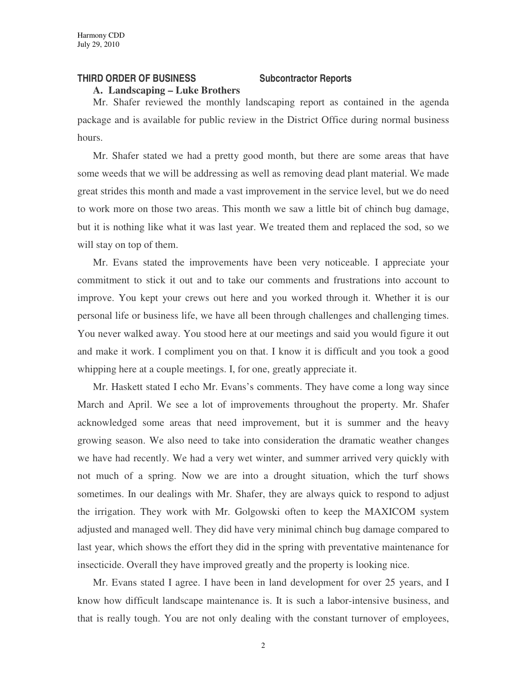### **THIRD ORDER OF BUSINESS Subcontractor Reports**

**A. Landscaping – Luke Brothers**

Mr. Shafer reviewed the monthly landscaping report as contained in the agenda package and is available for public review in the District Office during normal business hours.

Mr. Shafer stated we had a pretty good month, but there are some areas that have some weeds that we will be addressing as well as removing dead plant material. We made great strides this month and made a vast improvement in the service level, but we do need to work more on those two areas. This month we saw a little bit of chinch bug damage, but it is nothing like what it was last year. We treated them and replaced the sod, so we will stay on top of them.

Mr. Evans stated the improvements have been very noticeable. I appreciate your commitment to stick it out and to take our comments and frustrations into account to improve. You kept your crews out here and you worked through it. Whether it is our personal life or business life, we have all been through challenges and challenging times. You never walked away. You stood here at our meetings and said you would figure it out and make it work. I compliment you on that. I know it is difficult and you took a good whipping here at a couple meetings. I, for one, greatly appreciate it.

Mr. Haskett stated I echo Mr. Evans's comments. They have come a long way since March and April. We see a lot of improvements throughout the property. Mr. Shafer acknowledged some areas that need improvement, but it is summer and the heavy growing season. We also need to take into consideration the dramatic weather changes we have had recently. We had a very wet winter, and summer arrived very quickly with not much of a spring. Now we are into a drought situation, which the turf shows sometimes. In our dealings with Mr. Shafer, they are always quick to respond to adjust the irrigation. They work with Mr. Golgowski often to keep the MAXICOM system adjusted and managed well. They did have very minimal chinch bug damage compared to last year, which shows the effort they did in the spring with preventative maintenance for insecticide. Overall they have improved greatly and the property is looking nice.

Mr. Evans stated I agree. I have been in land development for over 25 years, and I know how difficult landscape maintenance is. It is such a labor-intensive business, and that is really tough. You are not only dealing with the constant turnover of employees,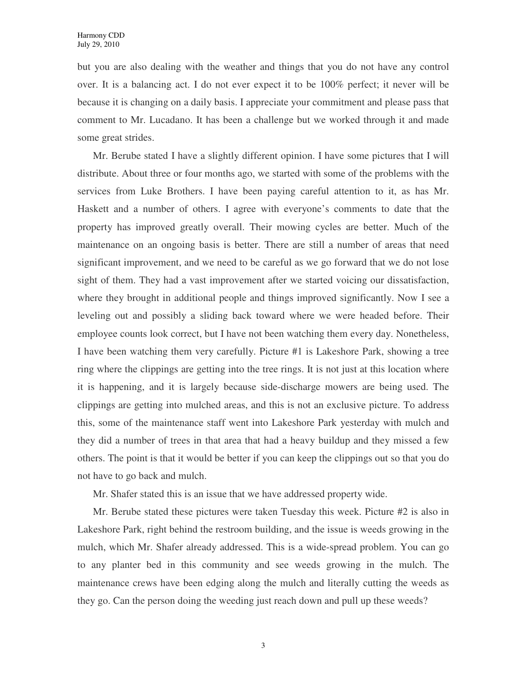but you are also dealing with the weather and things that you do not have any control over. It is a balancing act. I do not ever expect it to be 100% perfect; it never will be because it is changing on a daily basis. I appreciate your commitment and please pass that comment to Mr. Lucadano. It has been a challenge but we worked through it and made some great strides.

Mr. Berube stated I have a slightly different opinion. I have some pictures that I will distribute. About three or four months ago, we started with some of the problems with the services from Luke Brothers. I have been paying careful attention to it, as has Mr. Haskett and a number of others. I agree with everyone's comments to date that the property has improved greatly overall. Their mowing cycles are better. Much of the maintenance on an ongoing basis is better. There are still a number of areas that need significant improvement, and we need to be careful as we go forward that we do not lose sight of them. They had a vast improvement after we started voicing our dissatisfaction, where they brought in additional people and things improved significantly. Now I see a leveling out and possibly a sliding back toward where we were headed before. Their employee counts look correct, but I have not been watching them every day. Nonetheless, I have been watching them very carefully. Picture #1 is Lakeshore Park, showing a tree ring where the clippings are getting into the tree rings. It is not just at this location where it is happening, and it is largely because side-discharge mowers are being used. The clippings are getting into mulched areas, and this is not an exclusive picture. To address this, some of the maintenance staff went into Lakeshore Park yesterday with mulch and they did a number of trees in that area that had a heavy buildup and they missed a few others. The point is that it would be better if you can keep the clippings out so that you do not have to go back and mulch.

Mr. Shafer stated this is an issue that we have addressed property wide.

Mr. Berube stated these pictures were taken Tuesday this week. Picture #2 is also in Lakeshore Park, right behind the restroom building, and the issue is weeds growing in the mulch, which Mr. Shafer already addressed. This is a wide-spread problem. You can go to any planter bed in this community and see weeds growing in the mulch. The maintenance crews have been edging along the mulch and literally cutting the weeds as they go. Can the person doing the weeding just reach down and pull up these weeds?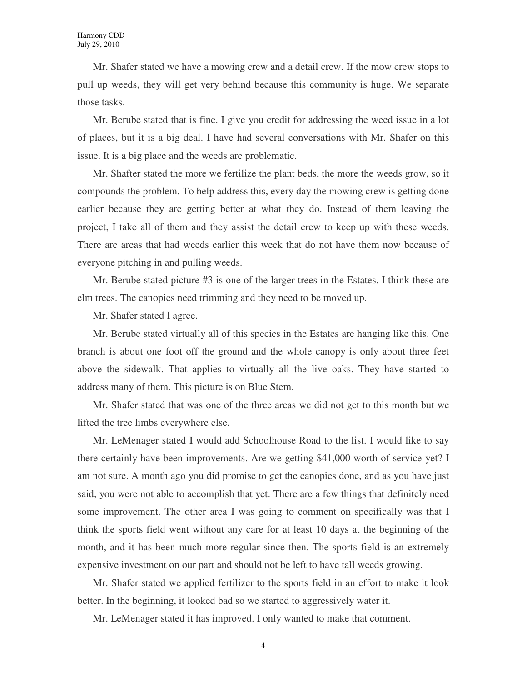Mr. Shafer stated we have a mowing crew and a detail crew. If the mow crew stops to pull up weeds, they will get very behind because this community is huge. We separate those tasks.

Mr. Berube stated that is fine. I give you credit for addressing the weed issue in a lot of places, but it is a big deal. I have had several conversations with Mr. Shafer on this issue. It is a big place and the weeds are problematic.

Mr. Shafter stated the more we fertilize the plant beds, the more the weeds grow, so it compounds the problem. To help address this, every day the mowing crew is getting done earlier because they are getting better at what they do. Instead of them leaving the project, I take all of them and they assist the detail crew to keep up with these weeds. There are areas that had weeds earlier this week that do not have them now because of everyone pitching in and pulling weeds.

Mr. Berube stated picture #3 is one of the larger trees in the Estates. I think these are elm trees. The canopies need trimming and they need to be moved up.

Mr. Shafer stated I agree.

Mr. Berube stated virtually all of this species in the Estates are hanging like this. One branch is about one foot off the ground and the whole canopy is only about three feet above the sidewalk. That applies to virtually all the live oaks. They have started to address many of them. This picture is on Blue Stem.

Mr. Shafer stated that was one of the three areas we did not get to this month but we lifted the tree limbs everywhere else.

Mr. LeMenager stated I would add Schoolhouse Road to the list. I would like to say there certainly have been improvements. Are we getting \$41,000 worth of service yet? I am not sure. A month ago you did promise to get the canopies done, and as you have just said, you were not able to accomplish that yet. There are a few things that definitely need some improvement. The other area I was going to comment on specifically was that I think the sports field went without any care for at least 10 days at the beginning of the month, and it has been much more regular since then. The sports field is an extremely expensive investment on our part and should not be left to have tall weeds growing.

Mr. Shafer stated we applied fertilizer to the sports field in an effort to make it look better. In the beginning, it looked bad so we started to aggressively water it.

Mr. LeMenager stated it has improved. I only wanted to make that comment.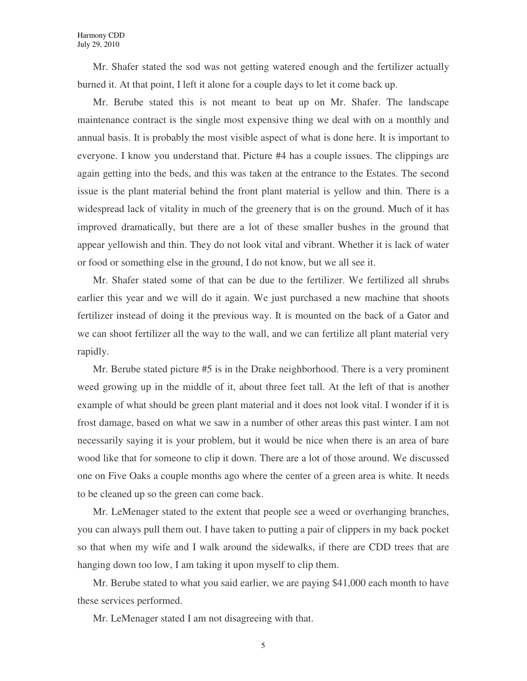Mr. Shafer stated the sod was not getting watered enough and the fertilizer actually burned it. At that point, I left it alone for a couple days to let it come back up.

Mr. Berube stated this is not meant to beat up on Mr. Shafer. The landscape maintenance contract is the single most expensive thing we deal with on a monthly and annual basis. It is probably the most visible aspect of what is done here. It is important to everyone. I know you understand that. Picture #4 has a couple issues. The clippings are again getting into the beds, and this was taken at the entrance to the Estates. The second issue is the plant material behind the front plant material is yellow and thin. There is a widespread lack of vitality in much of the greenery that is on the ground. Much of it has improved dramatically, but there are a lot of these smaller bushes in the ground that appear yellowish and thin. They do not look vital and vibrant. Whether it is lack of water or food or something else in the ground, I do not know, but we all see it.

Mr. Shafer stated some of that can be due to the fertilizer. We fertilized all shrubs earlier this year and we will do it again. We just purchased a new machine that shoots fertilizer instead of doing it the previous way. It is mounted on the back of a Gator and we can shoot fertilizer all the way to the wall, and we can fertilize all plant material very rapidly.

Mr. Berube stated picture #5 is in the Drake neighborhood. There is a very prominent weed growing up in the middle of it, about three feet tall. At the left of that is another example of what should be green plant material and it does not look vital. I wonder if it is frost damage, based on what we saw in a number of other areas this past winter. I am not necessarily saying it is your problem, but it would be nice when there is an area of bare wood like that for someone to clip it down. There are a lot of those around. We discussed one on Five Oaks a couple months ago where the center of a green area is white. It needs to be cleaned up so the green can come back.

Mr. LeMenager stated to the extent that people see a weed or overhanging branches, you can always pull them out. I have taken to putting a pair of clippers in my back pocket so that when my wife and I walk around the sidewalks, if there are CDD trees that are hanging down too low, I am taking it upon myself to clip them.

Mr. Berube stated to what you said earlier, we are paying \$41,000 each month to have these services performed.

Mr. LeMenager stated I am not disagreeing with that.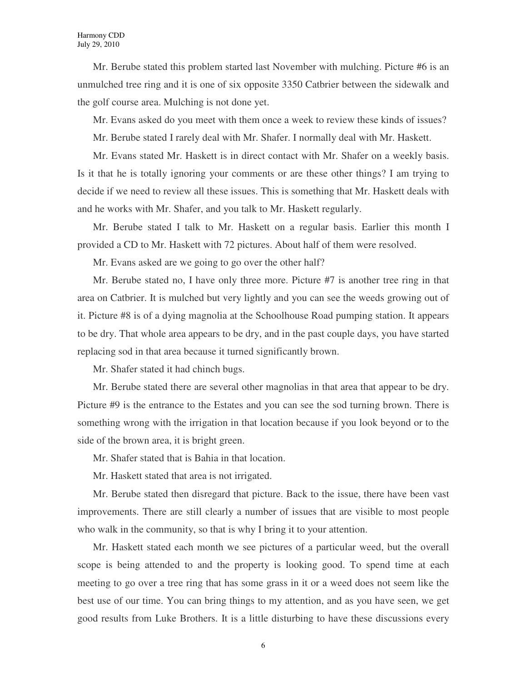Mr. Berube stated this problem started last November with mulching. Picture #6 is an unmulched tree ring and it is one of six opposite 3350 Catbrier between the sidewalk and the golf course area. Mulching is not done yet.

Mr. Evans asked do you meet with them once a week to review these kinds of issues?

Mr. Berube stated I rarely deal with Mr. Shafer. I normally deal with Mr. Haskett.

Mr. Evans stated Mr. Haskett is in direct contact with Mr. Shafer on a weekly basis. Is it that he is totally ignoring your comments or are these other things? I am trying to decide if we need to review all these issues. This is something that Mr. Haskett deals with and he works with Mr. Shafer, and you talk to Mr. Haskett regularly.

Mr. Berube stated I talk to Mr. Haskett on a regular basis. Earlier this month I provided a CD to Mr. Haskett with 72 pictures. About half of them were resolved.

Mr. Evans asked are we going to go over the other half?

Mr. Berube stated no, I have only three more. Picture #7 is another tree ring in that area on Catbrier. It is mulched but very lightly and you can see the weeds growing out of it. Picture #8 is of a dying magnolia at the Schoolhouse Road pumping station. It appears to be dry. That whole area appears to be dry, and in the past couple days, you have started replacing sod in that area because it turned significantly brown.

Mr. Shafer stated it had chinch bugs.

Mr. Berube stated there are several other magnolias in that area that appear to be dry. Picture #9 is the entrance to the Estates and you can see the sod turning brown. There is something wrong with the irrigation in that location because if you look beyond or to the side of the brown area, it is bright green.

Mr. Shafer stated that is Bahia in that location.

Mr. Haskett stated that area is not irrigated.

Mr. Berube stated then disregard that picture. Back to the issue, there have been vast improvements. There are still clearly a number of issues that are visible to most people who walk in the community, so that is why I bring it to your attention.

Mr. Haskett stated each month we see pictures of a particular weed, but the overall scope is being attended to and the property is looking good. To spend time at each meeting to go over a tree ring that has some grass in it or a weed does not seem like the best use of our time. You can bring things to my attention, and as you have seen, we get good results from Luke Brothers. It is a little disturbing to have these discussions every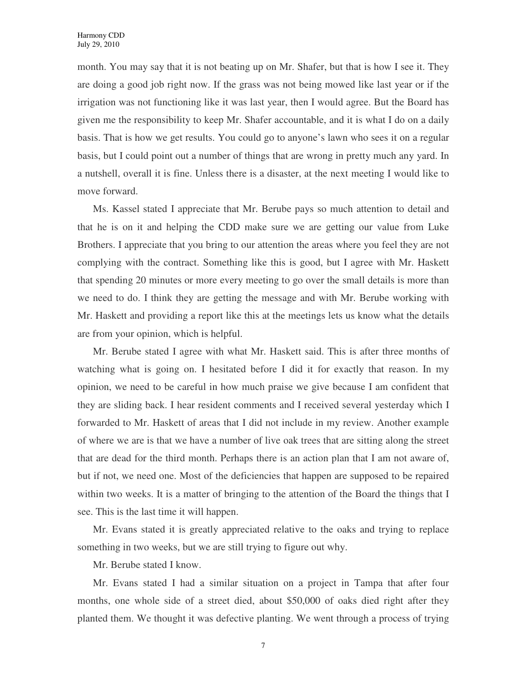month. You may say that it is not beating up on Mr. Shafer, but that is how I see it. They are doing a good job right now. If the grass was not being mowed like last year or if the irrigation was not functioning like it was last year, then I would agree. But the Board has given me the responsibility to keep Mr. Shafer accountable, and it is what I do on a daily basis. That is how we get results. You could go to anyone's lawn who sees it on a regular basis, but I could point out a number of things that are wrong in pretty much any yard. In a nutshell, overall it is fine. Unless there is a disaster, at the next meeting I would like to move forward.

Ms. Kassel stated I appreciate that Mr. Berube pays so much attention to detail and that he is on it and helping the CDD make sure we are getting our value from Luke Brothers. I appreciate that you bring to our attention the areas where you feel they are not complying with the contract. Something like this is good, but I agree with Mr. Haskett that spending 20 minutes or more every meeting to go over the small details is more than we need to do. I think they are getting the message and with Mr. Berube working with Mr. Haskett and providing a report like this at the meetings lets us know what the details are from your opinion, which is helpful.

Mr. Berube stated I agree with what Mr. Haskett said. This is after three months of watching what is going on. I hesitated before I did it for exactly that reason. In my opinion, we need to be careful in how much praise we give because I am confident that they are sliding back. I hear resident comments and I received several yesterday which I forwarded to Mr. Haskett of areas that I did not include in my review. Another example of where we are is that we have a number of live oak trees that are sitting along the street that are dead for the third month. Perhaps there is an action plan that I am not aware of, but if not, we need one. Most of the deficiencies that happen are supposed to be repaired within two weeks. It is a matter of bringing to the attention of the Board the things that I see. This is the last time it will happen.

Mr. Evans stated it is greatly appreciated relative to the oaks and trying to replace something in two weeks, but we are still trying to figure out why.

Mr. Berube stated I know.

Mr. Evans stated I had a similar situation on a project in Tampa that after four months, one whole side of a street died, about \$50,000 of oaks died right after they planted them. We thought it was defective planting. We went through a process of trying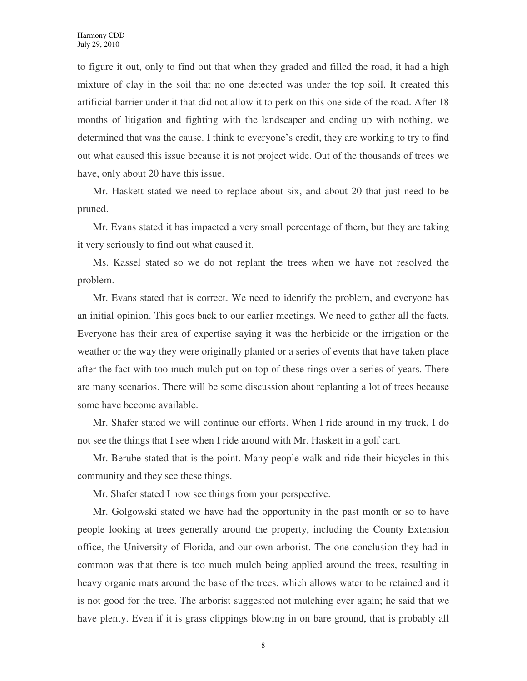to figure it out, only to find out that when they graded and filled the road, it had a high mixture of clay in the soil that no one detected was under the top soil. It created this artificial barrier under it that did not allow it to perk on this one side of the road. After 18 months of litigation and fighting with the landscaper and ending up with nothing, we determined that was the cause. I think to everyone's credit, they are working to try to find out what caused this issue because it is not project wide. Out of the thousands of trees we have, only about 20 have this issue.

Mr. Haskett stated we need to replace about six, and about 20 that just need to be pruned.

Mr. Evans stated it has impacted a very small percentage of them, but they are taking it very seriously to find out what caused it.

Ms. Kassel stated so we do not replant the trees when we have not resolved the problem.

Mr. Evans stated that is correct. We need to identify the problem, and everyone has an initial opinion. This goes back to our earlier meetings. We need to gather all the facts. Everyone has their area of expertise saying it was the herbicide or the irrigation or the weather or the way they were originally planted or a series of events that have taken place after the fact with too much mulch put on top of these rings over a series of years. There are many scenarios. There will be some discussion about replanting a lot of trees because some have become available.

Mr. Shafer stated we will continue our efforts. When I ride around in my truck, I do not see the things that I see when I ride around with Mr. Haskett in a golf cart.

Mr. Berube stated that is the point. Many people walk and ride their bicycles in this community and they see these things.

Mr. Shafer stated I now see things from your perspective.

Mr. Golgowski stated we have had the opportunity in the past month or so to have people looking at trees generally around the property, including the County Extension office, the University of Florida, and our own arborist. The one conclusion they had in common was that there is too much mulch being applied around the trees, resulting in heavy organic mats around the base of the trees, which allows water to be retained and it is not good for the tree. The arborist suggested not mulching ever again; he said that we have plenty. Even if it is grass clippings blowing in on bare ground, that is probably all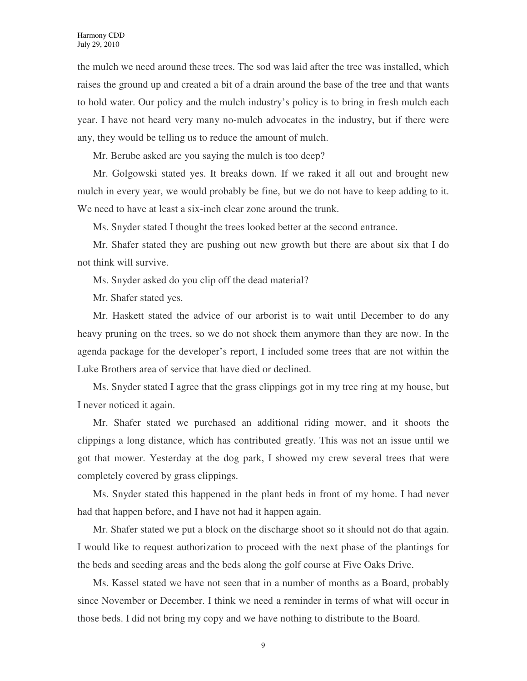the mulch we need around these trees. The sod was laid after the tree was installed, which raises the ground up and created a bit of a drain around the base of the tree and that wants to hold water. Our policy and the mulch industry's policy is to bring in fresh mulch each year. I have not heard very many no-mulch advocates in the industry, but if there were any, they would be telling us to reduce the amount of mulch.

Mr. Berube asked are you saying the mulch is too deep?

Mr. Golgowski stated yes. It breaks down. If we raked it all out and brought new mulch in every year, we would probably be fine, but we do not have to keep adding to it. We need to have at least a six-inch clear zone around the trunk.

Ms. Snyder stated I thought the trees looked better at the second entrance.

Mr. Shafer stated they are pushing out new growth but there are about six that I do not think will survive.

Ms. Snyder asked do you clip off the dead material?

Mr. Shafer stated yes.

Mr. Haskett stated the advice of our arborist is to wait until December to do any heavy pruning on the trees, so we do not shock them anymore than they are now. In the agenda package for the developer's report, I included some trees that are not within the Luke Brothers area of service that have died or declined.

Ms. Snyder stated I agree that the grass clippings got in my tree ring at my house, but I never noticed it again.

Mr. Shafer stated we purchased an additional riding mower, and it shoots the clippings a long distance, which has contributed greatly. This was not an issue until we got that mower. Yesterday at the dog park, I showed my crew several trees that were completely covered by grass clippings.

Ms. Snyder stated this happened in the plant beds in front of my home. I had never had that happen before, and I have not had it happen again.

Mr. Shafer stated we put a block on the discharge shoot so it should not do that again. I would like to request authorization to proceed with the next phase of the plantings for the beds and seeding areas and the beds along the golf course at Five Oaks Drive.

Ms. Kassel stated we have not seen that in a number of months as a Board, probably since November or December. I think we need a reminder in terms of what will occur in those beds. I did not bring my copy and we have nothing to distribute to the Board.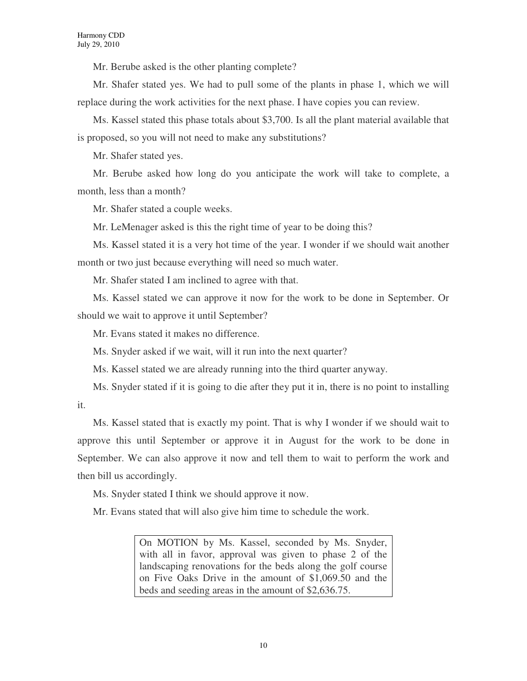Mr. Berube asked is the other planting complete?

Mr. Shafer stated yes. We had to pull some of the plants in phase 1, which we will replace during the work activities for the next phase. I have copies you can review.

Ms. Kassel stated this phase totals about \$3,700. Is all the plant material available that is proposed, so you will not need to make any substitutions?

Mr. Shafer stated yes.

Mr. Berube asked how long do you anticipate the work will take to complete, a month, less than a month?

Mr. Shafer stated a couple weeks.

Mr. LeMenager asked is this the right time of year to be doing this?

Ms. Kassel stated it is a very hot time of the year. I wonder if we should wait another month or two just because everything will need so much water.

Mr. Shafer stated I am inclined to agree with that.

Ms. Kassel stated we can approve it now for the work to be done in September. Or should we wait to approve it until September?

Mr. Evans stated it makes no difference.

Ms. Snyder asked if we wait, will it run into the next quarter?

Ms. Kassel stated we are already running into the third quarter anyway.

Ms. Snyder stated if it is going to die after they put it in, there is no point to installing it.

Ms. Kassel stated that is exactly my point. That is why I wonder if we should wait to approve this until September or approve it in August for the work to be done in September. We can also approve it now and tell them to wait to perform the work and then bill us accordingly.

Ms. Snyder stated I think we should approve it now.

Mr. Evans stated that will also give him time to schedule the work.

On MOTION by Ms. Kassel, seconded by Ms. Snyder, with all in favor, approval was given to phase 2 of the landscaping renovations for the beds along the golf course on Five Oaks Drive in the amount of \$1,069.50 and the beds and seeding areas in the amount of \$2,636.75.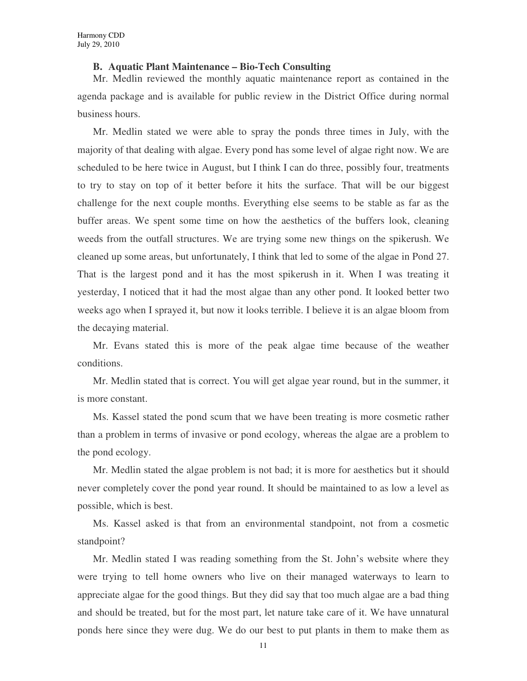### **B. Aquatic Plant Maintenance – Bio-Tech Consulting**

Mr. Medlin reviewed the monthly aquatic maintenance report as contained in the agenda package and is available for public review in the District Office during normal business hours.

Mr. Medlin stated we were able to spray the ponds three times in July, with the majority of that dealing with algae. Every pond has some level of algae right now. We are scheduled to be here twice in August, but I think I can do three, possibly four, treatments to try to stay on top of it better before it hits the surface. That will be our biggest challenge for the next couple months. Everything else seems to be stable as far as the buffer areas. We spent some time on how the aesthetics of the buffers look, cleaning weeds from the outfall structures. We are trying some new things on the spikerush. We cleaned up some areas, but unfortunately, I think that led to some of the algae in Pond 27. That is the largest pond and it has the most spikerush in it. When I was treating it yesterday, I noticed that it had the most algae than any other pond. It looked better two weeks ago when I sprayed it, but now it looks terrible. I believe it is an algae bloom from the decaying material.

Mr. Evans stated this is more of the peak algae time because of the weather conditions.

Mr. Medlin stated that is correct. You will get algae year round, but in the summer, it is more constant.

Ms. Kassel stated the pond scum that we have been treating is more cosmetic rather than a problem in terms of invasive or pond ecology, whereas the algae are a problem to the pond ecology.

Mr. Medlin stated the algae problem is not bad; it is more for aesthetics but it should never completely cover the pond year round. It should be maintained to as low a level as possible, which is best.

Ms. Kassel asked is that from an environmental standpoint, not from a cosmetic standpoint?

Mr. Medlin stated I was reading something from the St. John's website where they were trying to tell home owners who live on their managed waterways to learn to appreciate algae for the good things. But they did say that too much algae are a bad thing and should be treated, but for the most part, let nature take care of it. We have unnatural ponds here since they were dug. We do our best to put plants in them to make them as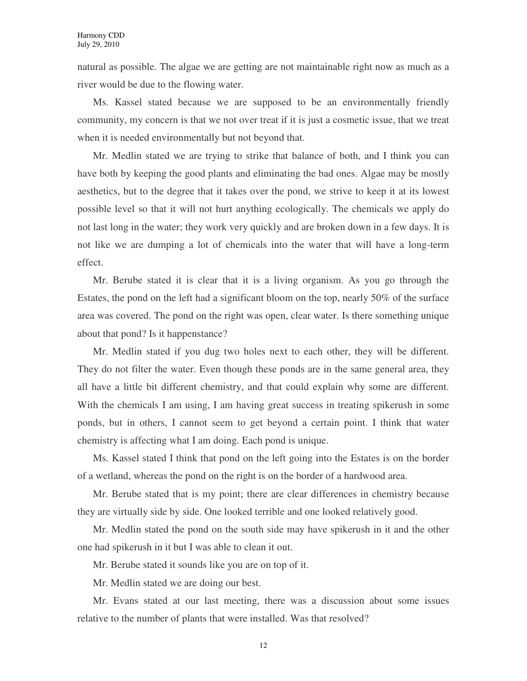natural as possible. The algae we are getting are not maintainable right now as much as a river would be due to the flowing water.

Ms. Kassel stated because we are supposed to be an environmentally friendly community, my concern is that we not over treat if it is just a cosmetic issue, that we treat when it is needed environmentally but not beyond that.

Mr. Medlin stated we are trying to strike that balance of both, and I think you can have both by keeping the good plants and eliminating the bad ones. Algae may be mostly aesthetics, but to the degree that it takes over the pond, we strive to keep it at its lowest possible level so that it will not hurt anything ecologically. The chemicals we apply do not last long in the water; they work very quickly and are broken down in a few days. It is not like we are dumping a lot of chemicals into the water that will have a long-term effect.

Mr. Berube stated it is clear that it is a living organism. As you go through the Estates, the pond on the left had a significant bloom on the top, nearly 50% of the surface area was covered. The pond on the right was open, clear water. Is there something unique about that pond? Is it happenstance?

Mr. Medlin stated if you dug two holes next to each other, they will be different. They do not filter the water. Even though these ponds are in the same general area, they all have a little bit different chemistry, and that could explain why some are different. With the chemicals I am using, I am having great success in treating spikerush in some ponds, but in others, I cannot seem to get beyond a certain point. I think that water chemistry is affecting what I am doing. Each pond is unique.

Ms. Kassel stated I think that pond on the left going into the Estates is on the border of a wetland, whereas the pond on the right is on the border of a hardwood area.

Mr. Berube stated that is my point; there are clear differences in chemistry because they are virtually side by side. One looked terrible and one looked relatively good.

Mr. Medlin stated the pond on the south side may have spikerush in it and the other one had spikerush in it but I was able to clean it out.

Mr. Berube stated it sounds like you are on top of it.

Mr. Medlin stated we are doing our best.

Mr. Evans stated at our last meeting, there was a discussion about some issues relative to the number of plants that were installed. Was that resolved?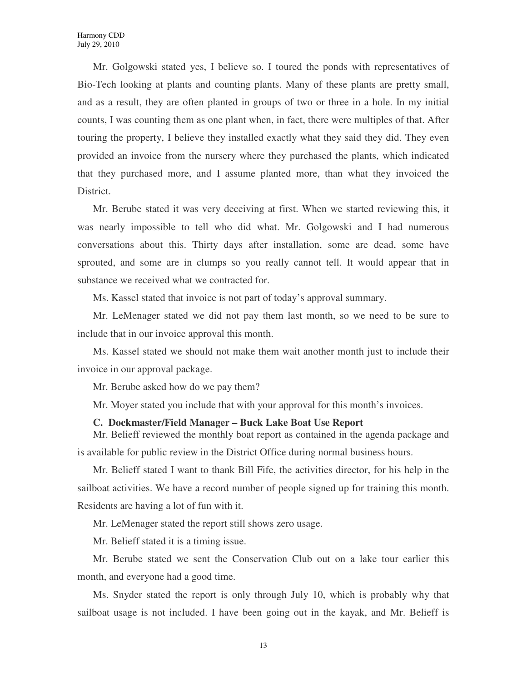Mr. Golgowski stated yes, I believe so. I toured the ponds with representatives of Bio-Tech looking at plants and counting plants. Many of these plants are pretty small, and as a result, they are often planted in groups of two or three in a hole. In my initial counts, I was counting them as one plant when, in fact, there were multiples of that. After touring the property, I believe they installed exactly what they said they did. They even provided an invoice from the nursery where they purchased the plants, which indicated that they purchased more, and I assume planted more, than what they invoiced the District.

Mr. Berube stated it was very deceiving at first. When we started reviewing this, it was nearly impossible to tell who did what. Mr. Golgowski and I had numerous conversations about this. Thirty days after installation, some are dead, some have sprouted, and some are in clumps so you really cannot tell. It would appear that in substance we received what we contracted for.

Ms. Kassel stated that invoice is not part of today's approval summary.

Mr. LeMenager stated we did not pay them last month, so we need to be sure to include that in our invoice approval this month.

Ms. Kassel stated we should not make them wait another month just to include their invoice in our approval package.

Mr. Berube asked how do we pay them?

Mr. Moyer stated you include that with your approval for this month's invoices.

#### **C. Dockmaster/Field Manager – Buck Lake Boat Use Report**

Mr. Belieff reviewed the monthly boat report as contained in the agenda package and is available for public review in the District Office during normal business hours.

Mr. Belieff stated I want to thank Bill Fife, the activities director, for his help in the sailboat activities. We have a record number of people signed up for training this month. Residents are having a lot of fun with it.

Mr. LeMenager stated the report still shows zero usage.

Mr. Belieff stated it is a timing issue.

Mr. Berube stated we sent the Conservation Club out on a lake tour earlier this month, and everyone had a good time.

Ms. Snyder stated the report is only through July 10, which is probably why that sailboat usage is not included. I have been going out in the kayak, and Mr. Belieff is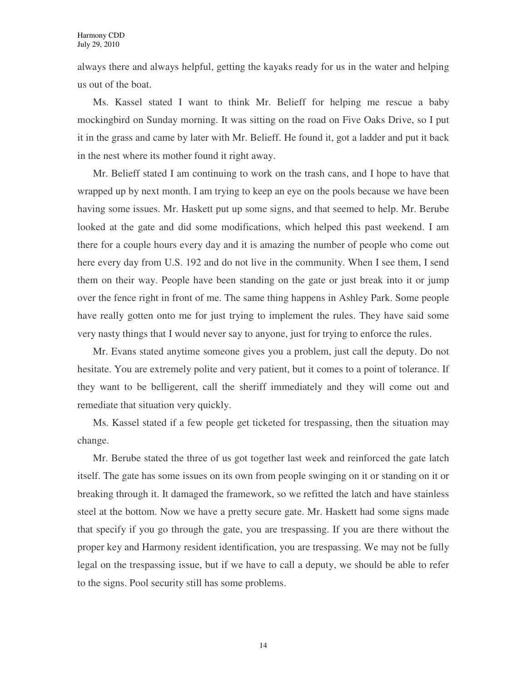always there and always helpful, getting the kayaks ready for us in the water and helping us out of the boat.

Ms. Kassel stated I want to think Mr. Belieff for helping me rescue a baby mockingbird on Sunday morning. It was sitting on the road on Five Oaks Drive, so I put it in the grass and came by later with Mr. Belieff. He found it, got a ladder and put it back in the nest where its mother found it right away.

Mr. Belieff stated I am continuing to work on the trash cans, and I hope to have that wrapped up by next month. I am trying to keep an eye on the pools because we have been having some issues. Mr. Haskett put up some signs, and that seemed to help. Mr. Berube looked at the gate and did some modifications, which helped this past weekend. I am there for a couple hours every day and it is amazing the number of people who come out here every day from U.S. 192 and do not live in the community. When I see them, I send them on their way. People have been standing on the gate or just break into it or jump over the fence right in front of me. The same thing happens in Ashley Park. Some people have really gotten onto me for just trying to implement the rules. They have said some very nasty things that I would never say to anyone, just for trying to enforce the rules.

Mr. Evans stated anytime someone gives you a problem, just call the deputy. Do not hesitate. You are extremely polite and very patient, but it comes to a point of tolerance. If they want to be belligerent, call the sheriff immediately and they will come out and remediate that situation very quickly.

Ms. Kassel stated if a few people get ticketed for trespassing, then the situation may change.

Mr. Berube stated the three of us got together last week and reinforced the gate latch itself. The gate has some issues on its own from people swinging on it or standing on it or breaking through it. It damaged the framework, so we refitted the latch and have stainless steel at the bottom. Now we have a pretty secure gate. Mr. Haskett had some signs made that specify if you go through the gate, you are trespassing. If you are there without the proper key and Harmony resident identification, you are trespassing. We may not be fully legal on the trespassing issue, but if we have to call a deputy, we should be able to refer to the signs. Pool security still has some problems.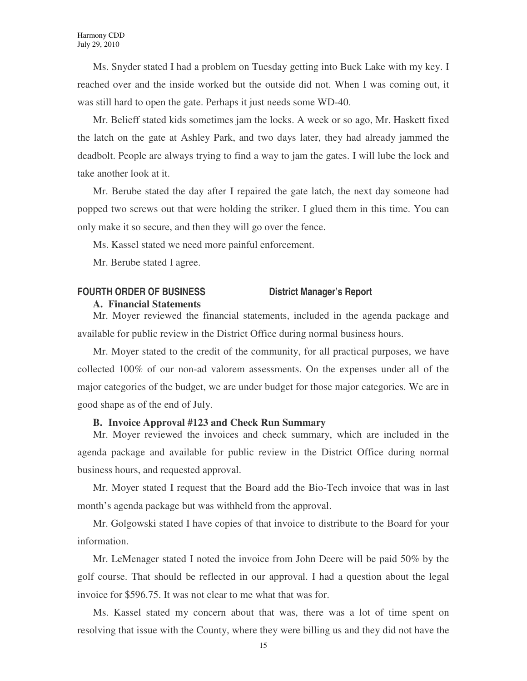Ms. Snyder stated I had a problem on Tuesday getting into Buck Lake with my key. I reached over and the inside worked but the outside did not. When I was coming out, it was still hard to open the gate. Perhaps it just needs some WD-40.

Mr. Belieff stated kids sometimes jam the locks. A week or so ago, Mr. Haskett fixed the latch on the gate at Ashley Park, and two days later, they had already jammed the deadbolt. People are always trying to find a way to jam the gates. I will lube the lock and take another look at it.

Mr. Berube stated the day after I repaired the gate latch, the next day someone had popped two screws out that were holding the striker. I glued them in this time. You can only make it so secure, and then they will go over the fence.

Ms. Kassel stated we need more painful enforcement.

Mr. Berube stated I agree.

# **FOURTH ORDER OF BUSINESS District Manager's Report**

## **A. Financial Statements**

Mr. Moyer reviewed the financial statements, included in the agenda package and available for public review in the District Office during normal business hours.

Mr. Moyer stated to the credit of the community, for all practical purposes, we have collected 100% of our non-ad valorem assessments. On the expenses under all of the major categories of the budget, we are under budget for those major categories. We are in good shape as of the end of July.

# **B. Invoice Approval #123 and Check Run Summary**

Mr. Moyer reviewed the invoices and check summary, which are included in the agenda package and available for public review in the District Office during normal business hours, and requested approval.

Mr. Moyer stated I request that the Board add the Bio-Tech invoice that was in last month's agenda package but was withheld from the approval.

Mr. Golgowski stated I have copies of that invoice to distribute to the Board for your information.

Mr. LeMenager stated I noted the invoice from John Deere will be paid 50% by the golf course. That should be reflected in our approval. I had a question about the legal invoice for \$596.75. It was not clear to me what that was for.

Ms. Kassel stated my concern about that was, there was a lot of time spent on resolving that issue with the County, where they were billing us and they did not have the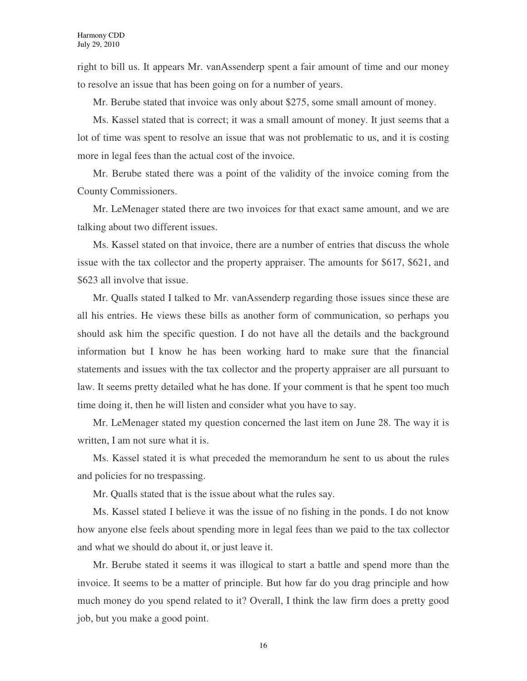right to bill us. It appears Mr. vanAssenderp spent a fair amount of time and our money to resolve an issue that has been going on for a number of years.

Mr. Berube stated that invoice was only about \$275, some small amount of money.

Ms. Kassel stated that is correct; it was a small amount of money. It just seems that a lot of time was spent to resolve an issue that was not problematic to us, and it is costing more in legal fees than the actual cost of the invoice.

Mr. Berube stated there was a point of the validity of the invoice coming from the County Commissioners.

Mr. LeMenager stated there are two invoices for that exact same amount, and we are talking about two different issues.

Ms. Kassel stated on that invoice, there are a number of entries that discuss the whole issue with the tax collector and the property appraiser. The amounts for \$617, \$621, and \$623 all involve that issue.

Mr. Qualls stated I talked to Mr. vanAssenderp regarding those issues since these are all his entries. He views these bills as another form of communication, so perhaps you should ask him the specific question. I do not have all the details and the background information but I know he has been working hard to make sure that the financial statements and issues with the tax collector and the property appraiser are all pursuant to law. It seems pretty detailed what he has done. If your comment is that he spent too much time doing it, then he will listen and consider what you have to say.

Mr. LeMenager stated my question concerned the last item on June 28. The way it is written, I am not sure what it is.

Ms. Kassel stated it is what preceded the memorandum he sent to us about the rules and policies for no trespassing.

Mr. Qualls stated that is the issue about what the rules say.

Ms. Kassel stated I believe it was the issue of no fishing in the ponds. I do not know how anyone else feels about spending more in legal fees than we paid to the tax collector and what we should do about it, or just leave it.

Mr. Berube stated it seems it was illogical to start a battle and spend more than the invoice. It seems to be a matter of principle. But how far do you drag principle and how much money do you spend related to it? Overall, I think the law firm does a pretty good job, but you make a good point.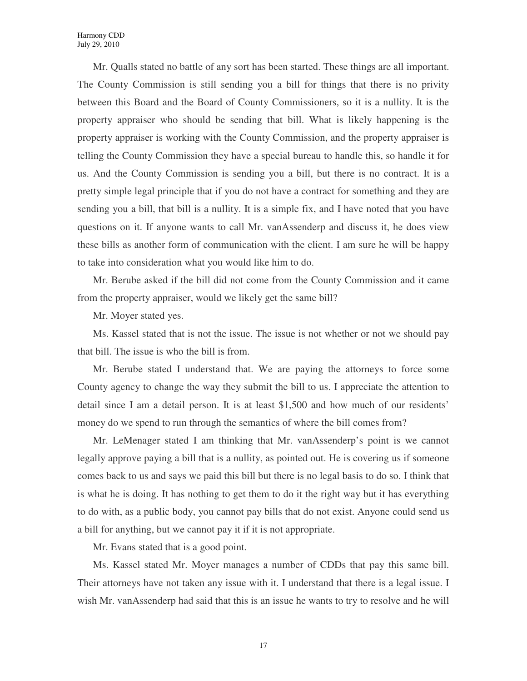Mr. Qualls stated no battle of any sort has been started. These things are all important. The County Commission is still sending you a bill for things that there is no privity between this Board and the Board of County Commissioners, so it is a nullity. It is the property appraiser who should be sending that bill. What is likely happening is the property appraiser is working with the County Commission, and the property appraiser is telling the County Commission they have a special bureau to handle this, so handle it for us. And the County Commission is sending you a bill, but there is no contract. It is a pretty simple legal principle that if you do not have a contract for something and they are sending you a bill, that bill is a nullity. It is a simple fix, and I have noted that you have questions on it. If anyone wants to call Mr. vanAssenderp and discuss it, he does view these bills as another form of communication with the client. I am sure he will be happy to take into consideration what you would like him to do.

Mr. Berube asked if the bill did not come from the County Commission and it came from the property appraiser, would we likely get the same bill?

Mr. Moyer stated yes.

Ms. Kassel stated that is not the issue. The issue is not whether or not we should pay that bill. The issue is who the bill is from.

Mr. Berube stated I understand that. We are paying the attorneys to force some County agency to change the way they submit the bill to us. I appreciate the attention to detail since I am a detail person. It is at least \$1,500 and how much of our residents' money do we spend to run through the semantics of where the bill comes from?

Mr. LeMenager stated I am thinking that Mr. vanAssenderp's point is we cannot legally approve paying a bill that is a nullity, as pointed out. He is covering us if someone comes back to us and says we paid this bill but there is no legal basis to do so. I think that is what he is doing. It has nothing to get them to do it the right way but it has everything to do with, as a public body, you cannot pay bills that do not exist. Anyone could send us a bill for anything, but we cannot pay it if it is not appropriate.

Mr. Evans stated that is a good point.

Ms. Kassel stated Mr. Moyer manages a number of CDDs that pay this same bill. Their attorneys have not taken any issue with it. I understand that there is a legal issue. I wish Mr. vanAssenderp had said that this is an issue he wants to try to resolve and he will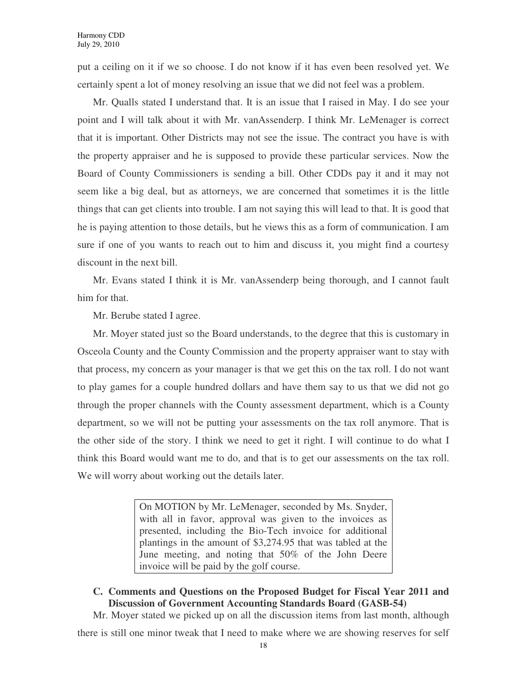put a ceiling on it if we so choose. I do not know if it has even been resolved yet. We certainly spent a lot of money resolving an issue that we did not feel was a problem.

Mr. Qualls stated I understand that. It is an issue that I raised in May. I do see your point and I will talk about it with Mr. vanAssenderp. I think Mr. LeMenager is correct that it is important. Other Districts may not see the issue. The contract you have is with the property appraiser and he is supposed to provide these particular services. Now the Board of County Commissioners is sending a bill. Other CDDs pay it and it may not seem like a big deal, but as attorneys, we are concerned that sometimes it is the little things that can get clients into trouble. I am not saying this will lead to that. It is good that he is paying attention to those details, but he views this as a form of communication. I am sure if one of you wants to reach out to him and discuss it, you might find a courtesy discount in the next bill.

Mr. Evans stated I think it is Mr. vanAssenderp being thorough, and I cannot fault him for that.

Mr. Berube stated I agree.

Mr. Moyer stated just so the Board understands, to the degree that this is customary in Osceola County and the County Commission and the property appraiser want to stay with that process, my concern as your manager is that we get this on the tax roll. I do not want to play games for a couple hundred dollars and have them say to us that we did not go through the proper channels with the County assessment department, which is a County department, so we will not be putting your assessments on the tax roll anymore. That is the other side of the story. I think we need to get it right. I will continue to do what I think this Board would want me to do, and that is to get our assessments on the tax roll. We will worry about working out the details later.

> On MOTION by Mr. LeMenager, seconded by Ms. Snyder, with all in favor, approval was given to the invoices as presented, including the Bio-Tech invoice for additional plantings in the amount of \$3,274.95 that was tabled at the June meeting, and noting that 50% of the John Deere invoice will be paid by the golf course.

**C. Comments and Questions on the Proposed Budget for Fiscal Year 2011 and Discussion of Government Accounting Standards Board (GASB-54)** 

Mr. Moyer stated we picked up on all the discussion items from last month, although

there is still one minor tweak that I need to make where we are showing reserves for self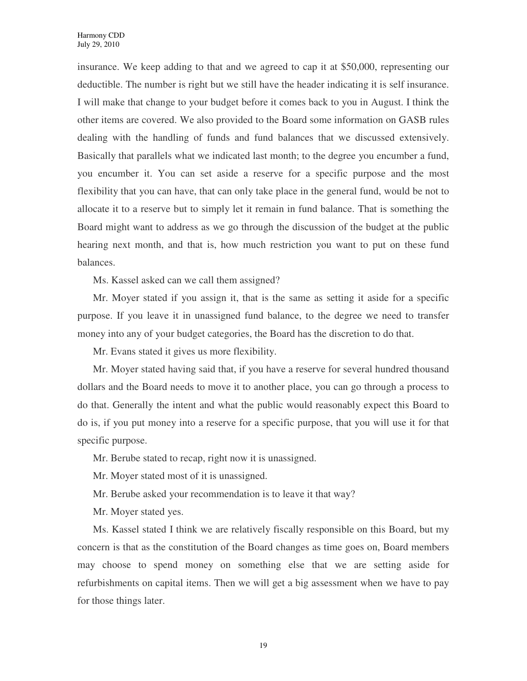insurance. We keep adding to that and we agreed to cap it at \$50,000, representing our deductible. The number is right but we still have the header indicating it is self insurance. I will make that change to your budget before it comes back to you in August. I think the other items are covered. We also provided to the Board some information on GASB rules dealing with the handling of funds and fund balances that we discussed extensively. Basically that parallels what we indicated last month; to the degree you encumber a fund, you encumber it. You can set aside a reserve for a specific purpose and the most flexibility that you can have, that can only take place in the general fund, would be not to allocate it to a reserve but to simply let it remain in fund balance. That is something the Board might want to address as we go through the discussion of the budget at the public hearing next month, and that is, how much restriction you want to put on these fund balances.

Ms. Kassel asked can we call them assigned?

Mr. Moyer stated if you assign it, that is the same as setting it aside for a specific purpose. If you leave it in unassigned fund balance, to the degree we need to transfer money into any of your budget categories, the Board has the discretion to do that.

Mr. Evans stated it gives us more flexibility.

Mr. Moyer stated having said that, if you have a reserve for several hundred thousand dollars and the Board needs to move it to another place, you can go through a process to do that. Generally the intent and what the public would reasonably expect this Board to do is, if you put money into a reserve for a specific purpose, that you will use it for that specific purpose.

Mr. Berube stated to recap, right now it is unassigned.

Mr. Moyer stated most of it is unassigned.

Mr. Berube asked your recommendation is to leave it that way?

Mr. Moyer stated yes.

Ms. Kassel stated I think we are relatively fiscally responsible on this Board, but my concern is that as the constitution of the Board changes as time goes on, Board members may choose to spend money on something else that we are setting aside for refurbishments on capital items. Then we will get a big assessment when we have to pay for those things later.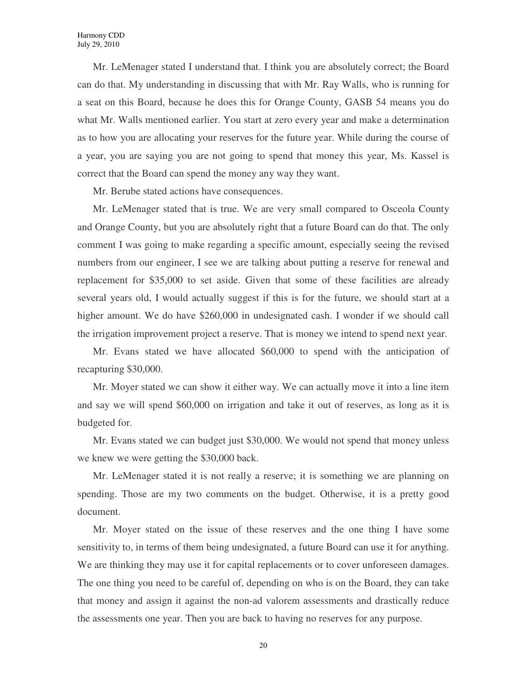Mr. LeMenager stated I understand that. I think you are absolutely correct; the Board can do that. My understanding in discussing that with Mr. Ray Walls, who is running for a seat on this Board, because he does this for Orange County, GASB 54 means you do what Mr. Walls mentioned earlier. You start at zero every year and make a determination as to how you are allocating your reserves for the future year. While during the course of a year, you are saying you are not going to spend that money this year, Ms. Kassel is correct that the Board can spend the money any way they want.

Mr. Berube stated actions have consequences.

Mr. LeMenager stated that is true. We are very small compared to Osceola County and Orange County, but you are absolutely right that a future Board can do that. The only comment I was going to make regarding a specific amount, especially seeing the revised numbers from our engineer, I see we are talking about putting a reserve for renewal and replacement for \$35,000 to set aside. Given that some of these facilities are already several years old, I would actually suggest if this is for the future, we should start at a higher amount. We do have \$260,000 in undesignated cash. I wonder if we should call the irrigation improvement project a reserve. That is money we intend to spend next year.

Mr. Evans stated we have allocated \$60,000 to spend with the anticipation of recapturing \$30,000.

Mr. Moyer stated we can show it either way. We can actually move it into a line item and say we will spend \$60,000 on irrigation and take it out of reserves, as long as it is budgeted for.

Mr. Evans stated we can budget just \$30,000. We would not spend that money unless we knew we were getting the \$30,000 back.

Mr. LeMenager stated it is not really a reserve; it is something we are planning on spending. Those are my two comments on the budget. Otherwise, it is a pretty good document.

Mr. Moyer stated on the issue of these reserves and the one thing I have some sensitivity to, in terms of them being undesignated, a future Board can use it for anything. We are thinking they may use it for capital replacements or to cover unforeseen damages. The one thing you need to be careful of, depending on who is on the Board, they can take that money and assign it against the non-ad valorem assessments and drastically reduce the assessments one year. Then you are back to having no reserves for any purpose.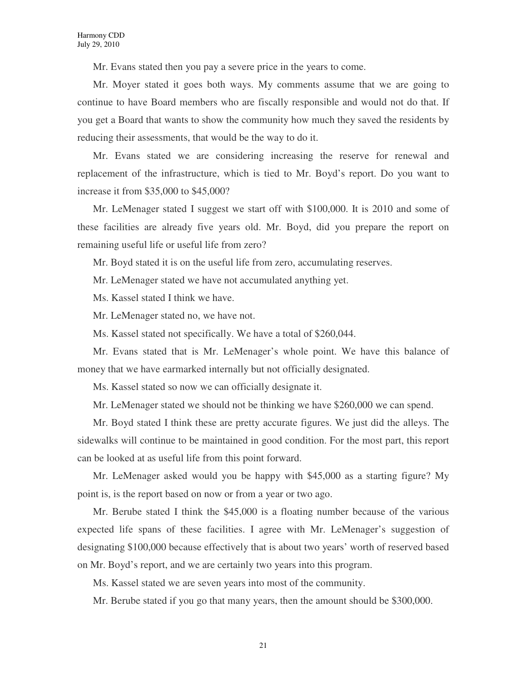Mr. Evans stated then you pay a severe price in the years to come.

Mr. Moyer stated it goes both ways. My comments assume that we are going to continue to have Board members who are fiscally responsible and would not do that. If you get a Board that wants to show the community how much they saved the residents by reducing their assessments, that would be the way to do it.

Mr. Evans stated we are considering increasing the reserve for renewal and replacement of the infrastructure, which is tied to Mr. Boyd's report. Do you want to increase it from \$35,000 to \$45,000?

Mr. LeMenager stated I suggest we start off with \$100,000. It is 2010 and some of these facilities are already five years old. Mr. Boyd, did you prepare the report on remaining useful life or useful life from zero?

Mr. Boyd stated it is on the useful life from zero, accumulating reserves.

Mr. LeMenager stated we have not accumulated anything yet.

Ms. Kassel stated I think we have.

Mr. LeMenager stated no, we have not.

Ms. Kassel stated not specifically. We have a total of \$260,044.

Mr. Evans stated that is Mr. LeMenager's whole point. We have this balance of money that we have earmarked internally but not officially designated.

Ms. Kassel stated so now we can officially designate it.

Mr. LeMenager stated we should not be thinking we have \$260,000 we can spend.

Mr. Boyd stated I think these are pretty accurate figures. We just did the alleys. The sidewalks will continue to be maintained in good condition. For the most part, this report can be looked at as useful life from this point forward.

Mr. LeMenager asked would you be happy with \$45,000 as a starting figure? My point is, is the report based on now or from a year or two ago.

Mr. Berube stated I think the \$45,000 is a floating number because of the various expected life spans of these facilities. I agree with Mr. LeMenager's suggestion of designating \$100,000 because effectively that is about two years' worth of reserved based on Mr. Boyd's report, and we are certainly two years into this program.

Ms. Kassel stated we are seven years into most of the community.

Mr. Berube stated if you go that many years, then the amount should be \$300,000.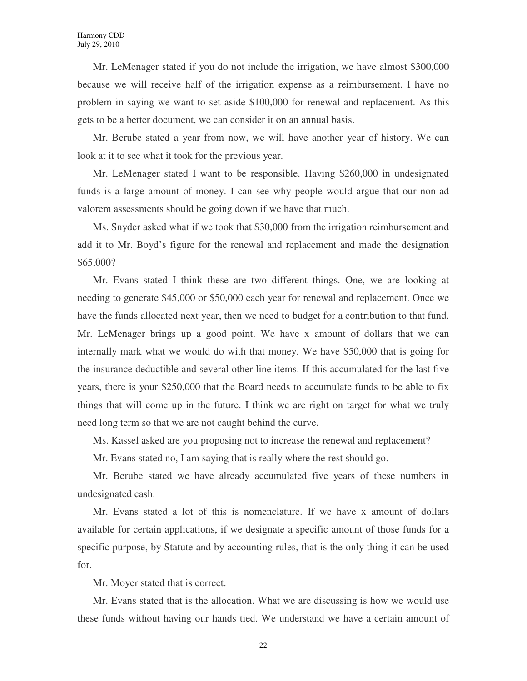Mr. LeMenager stated if you do not include the irrigation, we have almost \$300,000 because we will receive half of the irrigation expense as a reimbursement. I have no problem in saying we want to set aside \$100,000 for renewal and replacement. As this gets to be a better document, we can consider it on an annual basis.

Mr. Berube stated a year from now, we will have another year of history. We can look at it to see what it took for the previous year.

Mr. LeMenager stated I want to be responsible. Having \$260,000 in undesignated funds is a large amount of money. I can see why people would argue that our non-ad valorem assessments should be going down if we have that much.

Ms. Snyder asked what if we took that \$30,000 from the irrigation reimbursement and add it to Mr. Boyd's figure for the renewal and replacement and made the designation \$65,000?

Mr. Evans stated I think these are two different things. One, we are looking at needing to generate \$45,000 or \$50,000 each year for renewal and replacement. Once we have the funds allocated next year, then we need to budget for a contribution to that fund. Mr. LeMenager brings up a good point. We have x amount of dollars that we can internally mark what we would do with that money. We have \$50,000 that is going for the insurance deductible and several other line items. If this accumulated for the last five years, there is your \$250,000 that the Board needs to accumulate funds to be able to fix things that will come up in the future. I think we are right on target for what we truly need long term so that we are not caught behind the curve.

Ms. Kassel asked are you proposing not to increase the renewal and replacement?

Mr. Evans stated no, I am saying that is really where the rest should go.

Mr. Berube stated we have already accumulated five years of these numbers in undesignated cash.

Mr. Evans stated a lot of this is nomenclature. If we have x amount of dollars available for certain applications, if we designate a specific amount of those funds for a specific purpose, by Statute and by accounting rules, that is the only thing it can be used for.

Mr. Moyer stated that is correct.

Mr. Evans stated that is the allocation. What we are discussing is how we would use these funds without having our hands tied. We understand we have a certain amount of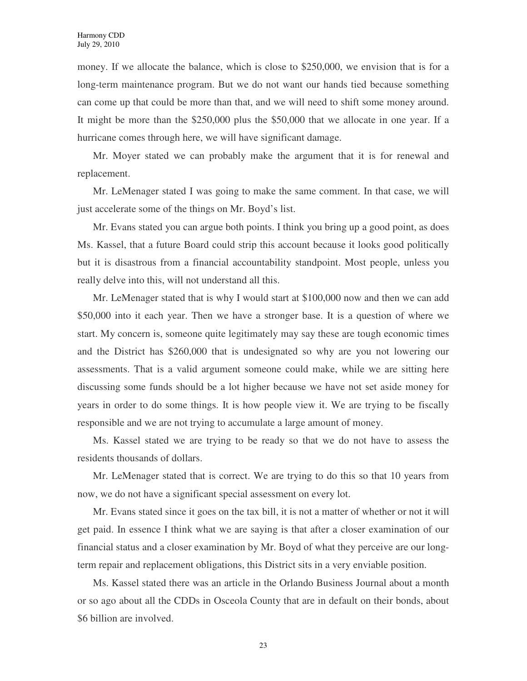money. If we allocate the balance, which is close to \$250,000, we envision that is for a long-term maintenance program. But we do not want our hands tied because something can come up that could be more than that, and we will need to shift some money around. It might be more than the \$250,000 plus the \$50,000 that we allocate in one year. If a hurricane comes through here, we will have significant damage.

Mr. Moyer stated we can probably make the argument that it is for renewal and replacement.

Mr. LeMenager stated I was going to make the same comment. In that case, we will just accelerate some of the things on Mr. Boyd's list.

Mr. Evans stated you can argue both points. I think you bring up a good point, as does Ms. Kassel, that a future Board could strip this account because it looks good politically but it is disastrous from a financial accountability standpoint. Most people, unless you really delve into this, will not understand all this.

Mr. LeMenager stated that is why I would start at \$100,000 now and then we can add \$50,000 into it each year. Then we have a stronger base. It is a question of where we start. My concern is, someone quite legitimately may say these are tough economic times and the District has \$260,000 that is undesignated so why are you not lowering our assessments. That is a valid argument someone could make, while we are sitting here discussing some funds should be a lot higher because we have not set aside money for years in order to do some things. It is how people view it. We are trying to be fiscally responsible and we are not trying to accumulate a large amount of money.

Ms. Kassel stated we are trying to be ready so that we do not have to assess the residents thousands of dollars.

Mr. LeMenager stated that is correct. We are trying to do this so that 10 years from now, we do not have a significant special assessment on every lot.

Mr. Evans stated since it goes on the tax bill, it is not a matter of whether or not it will get paid. In essence I think what we are saying is that after a closer examination of our financial status and a closer examination by Mr. Boyd of what they perceive are our longterm repair and replacement obligations, this District sits in a very enviable position.

Ms. Kassel stated there was an article in the Orlando Business Journal about a month or so ago about all the CDDs in Osceola County that are in default on their bonds, about \$6 billion are involved.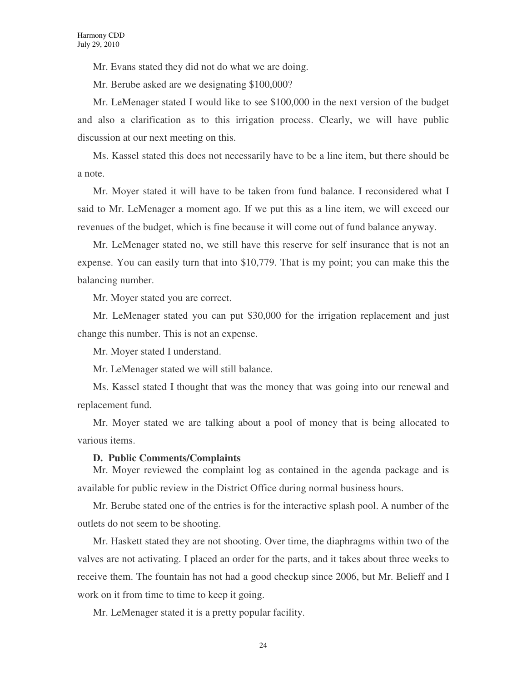Mr. Evans stated they did not do what we are doing.

Mr. Berube asked are we designating \$100,000?

Mr. LeMenager stated I would like to see \$100,000 in the next version of the budget and also a clarification as to this irrigation process. Clearly, we will have public discussion at our next meeting on this.

Ms. Kassel stated this does not necessarily have to be a line item, but there should be a note.

Mr. Moyer stated it will have to be taken from fund balance. I reconsidered what I said to Mr. LeMenager a moment ago. If we put this as a line item, we will exceed our revenues of the budget, which is fine because it will come out of fund balance anyway.

Mr. LeMenager stated no, we still have this reserve for self insurance that is not an expense. You can easily turn that into \$10,779. That is my point; you can make this the balancing number.

Mr. Moyer stated you are correct.

Mr. LeMenager stated you can put \$30,000 for the irrigation replacement and just change this number. This is not an expense.

Mr. Moyer stated I understand.

Mr. LeMenager stated we will still balance.

Ms. Kassel stated I thought that was the money that was going into our renewal and replacement fund.

Mr. Moyer stated we are talking about a pool of money that is being allocated to various items.

#### **D. Public Comments/Complaints**

Mr. Moyer reviewed the complaint log as contained in the agenda package and is available for public review in the District Office during normal business hours.

Mr. Berube stated one of the entries is for the interactive splash pool. A number of the outlets do not seem to be shooting.

Mr. Haskett stated they are not shooting. Over time, the diaphragms within two of the valves are not activating. I placed an order for the parts, and it takes about three weeks to receive them. The fountain has not had a good checkup since 2006, but Mr. Belieff and I work on it from time to time to keep it going.

Mr. LeMenager stated it is a pretty popular facility.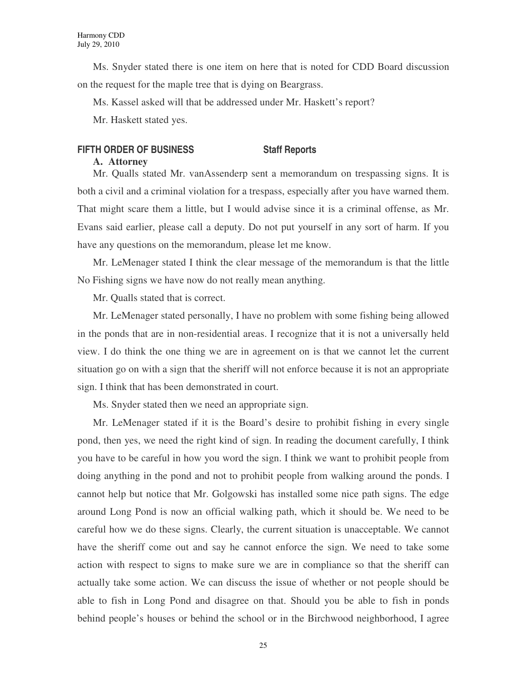Ms. Snyder stated there is one item on here that is noted for CDD Board discussion on the request for the maple tree that is dying on Beargrass.

Ms. Kassel asked will that be addressed under Mr. Haskett's report?

Mr. Haskett stated yes.

# **FIFTH ORDER OF BUSINESS Staff Reports**

# **A. Attorney**

Mr. Qualls stated Mr. vanAssenderp sent a memorandum on trespassing signs. It is both a civil and a criminal violation for a trespass, especially after you have warned them. That might scare them a little, but I would advise since it is a criminal offense, as Mr. Evans said earlier, please call a deputy. Do not put yourself in any sort of harm. If you have any questions on the memorandum, please let me know.

Mr. LeMenager stated I think the clear message of the memorandum is that the little No Fishing signs we have now do not really mean anything.

Mr. Qualls stated that is correct.

Mr. LeMenager stated personally, I have no problem with some fishing being allowed in the ponds that are in non-residential areas. I recognize that it is not a universally held view. I do think the one thing we are in agreement on is that we cannot let the current situation go on with a sign that the sheriff will not enforce because it is not an appropriate sign. I think that has been demonstrated in court.

Ms. Snyder stated then we need an appropriate sign.

Mr. LeMenager stated if it is the Board's desire to prohibit fishing in every single pond, then yes, we need the right kind of sign. In reading the document carefully, I think you have to be careful in how you word the sign. I think we want to prohibit people from doing anything in the pond and not to prohibit people from walking around the ponds. I cannot help but notice that Mr. Golgowski has installed some nice path signs. The edge around Long Pond is now an official walking path, which it should be. We need to be careful how we do these signs. Clearly, the current situation is unacceptable. We cannot have the sheriff come out and say he cannot enforce the sign. We need to take some action with respect to signs to make sure we are in compliance so that the sheriff can actually take some action. We can discuss the issue of whether or not people should be able to fish in Long Pond and disagree on that. Should you be able to fish in ponds behind people's houses or behind the school or in the Birchwood neighborhood, I agree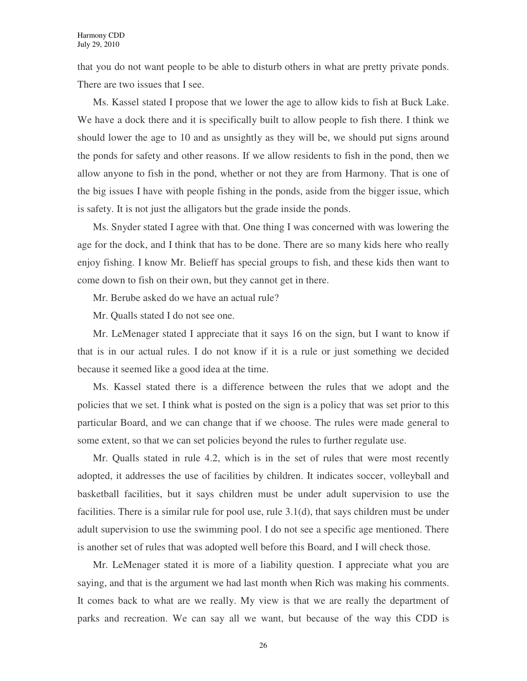that you do not want people to be able to disturb others in what are pretty private ponds. There are two issues that I see.

Ms. Kassel stated I propose that we lower the age to allow kids to fish at Buck Lake. We have a dock there and it is specifically built to allow people to fish there. I think we should lower the age to 10 and as unsightly as they will be, we should put signs around the ponds for safety and other reasons. If we allow residents to fish in the pond, then we allow anyone to fish in the pond, whether or not they are from Harmony. That is one of the big issues I have with people fishing in the ponds, aside from the bigger issue, which is safety. It is not just the alligators but the grade inside the ponds.

Ms. Snyder stated I agree with that. One thing I was concerned with was lowering the age for the dock, and I think that has to be done. There are so many kids here who really enjoy fishing. I know Mr. Belieff has special groups to fish, and these kids then want to come down to fish on their own, but they cannot get in there.

Mr. Berube asked do we have an actual rule?

Mr. Qualls stated I do not see one.

Mr. LeMenager stated I appreciate that it says 16 on the sign, but I want to know if that is in our actual rules. I do not know if it is a rule or just something we decided because it seemed like a good idea at the time.

Ms. Kassel stated there is a difference between the rules that we adopt and the policies that we set. I think what is posted on the sign is a policy that was set prior to this particular Board, and we can change that if we choose. The rules were made general to some extent, so that we can set policies beyond the rules to further regulate use.

Mr. Qualls stated in rule 4.2, which is in the set of rules that were most recently adopted, it addresses the use of facilities by children. It indicates soccer, volleyball and basketball facilities, but it says children must be under adult supervision to use the facilities. There is a similar rule for pool use, rule 3.1(d), that says children must be under adult supervision to use the swimming pool. I do not see a specific age mentioned. There is another set of rules that was adopted well before this Board, and I will check those.

Mr. LeMenager stated it is more of a liability question. I appreciate what you are saying, and that is the argument we had last month when Rich was making his comments. It comes back to what are we really. My view is that we are really the department of parks and recreation. We can say all we want, but because of the way this CDD is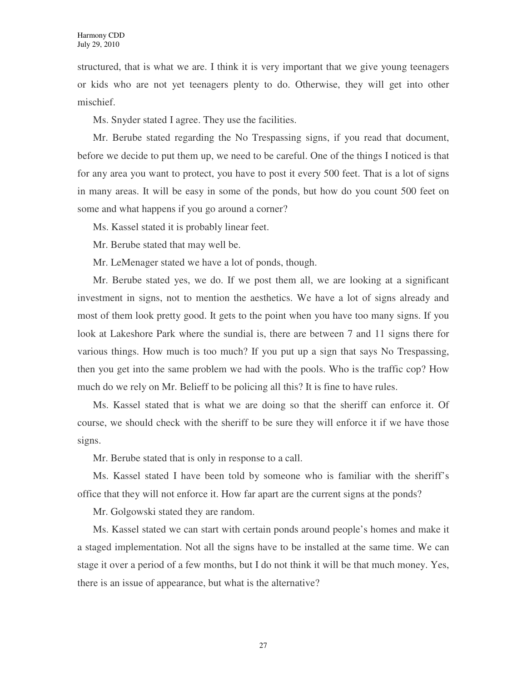structured, that is what we are. I think it is very important that we give young teenagers or kids who are not yet teenagers plenty to do. Otherwise, they will get into other mischief.

Ms. Snyder stated I agree. They use the facilities.

Mr. Berube stated regarding the No Trespassing signs, if you read that document, before we decide to put them up, we need to be careful. One of the things I noticed is that for any area you want to protect, you have to post it every 500 feet. That is a lot of signs in many areas. It will be easy in some of the ponds, but how do you count 500 feet on some and what happens if you go around a corner?

Ms. Kassel stated it is probably linear feet.

Mr. Berube stated that may well be.

Mr. LeMenager stated we have a lot of ponds, though.

Mr. Berube stated yes, we do. If we post them all, we are looking at a significant investment in signs, not to mention the aesthetics. We have a lot of signs already and most of them look pretty good. It gets to the point when you have too many signs. If you look at Lakeshore Park where the sundial is, there are between 7 and 11 signs there for various things. How much is too much? If you put up a sign that says No Trespassing, then you get into the same problem we had with the pools. Who is the traffic cop? How much do we rely on Mr. Belieff to be policing all this? It is fine to have rules.

Ms. Kassel stated that is what we are doing so that the sheriff can enforce it. Of course, we should check with the sheriff to be sure they will enforce it if we have those signs.

Mr. Berube stated that is only in response to a call.

Ms. Kassel stated I have been told by someone who is familiar with the sheriff's office that they will not enforce it. How far apart are the current signs at the ponds?

Mr. Golgowski stated they are random.

Ms. Kassel stated we can start with certain ponds around people's homes and make it a staged implementation. Not all the signs have to be installed at the same time. We can stage it over a period of a few months, but I do not think it will be that much money. Yes, there is an issue of appearance, but what is the alternative?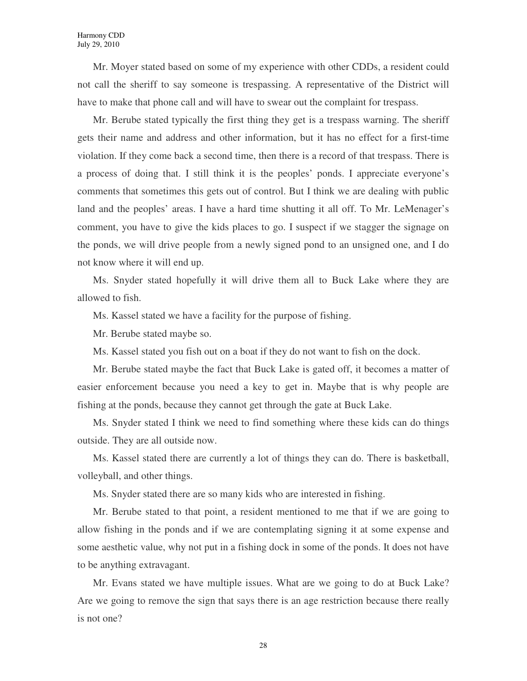Mr. Moyer stated based on some of my experience with other CDDs, a resident could not call the sheriff to say someone is trespassing. A representative of the District will have to make that phone call and will have to swear out the complaint for trespass.

Mr. Berube stated typically the first thing they get is a trespass warning. The sheriff gets their name and address and other information, but it has no effect for a first-time violation. If they come back a second time, then there is a record of that trespass. There is a process of doing that. I still think it is the peoples' ponds. I appreciate everyone's comments that sometimes this gets out of control. But I think we are dealing with public land and the peoples' areas. I have a hard time shutting it all off. To Mr. LeMenager's comment, you have to give the kids places to go. I suspect if we stagger the signage on the ponds, we will drive people from a newly signed pond to an unsigned one, and I do not know where it will end up.

Ms. Snyder stated hopefully it will drive them all to Buck Lake where they are allowed to fish.

Ms. Kassel stated we have a facility for the purpose of fishing.

Mr. Berube stated maybe so.

Ms. Kassel stated you fish out on a boat if they do not want to fish on the dock.

Mr. Berube stated maybe the fact that Buck Lake is gated off, it becomes a matter of easier enforcement because you need a key to get in. Maybe that is why people are fishing at the ponds, because they cannot get through the gate at Buck Lake.

Ms. Snyder stated I think we need to find something where these kids can do things outside. They are all outside now.

Ms. Kassel stated there are currently a lot of things they can do. There is basketball, volleyball, and other things.

Ms. Snyder stated there are so many kids who are interested in fishing.

Mr. Berube stated to that point, a resident mentioned to me that if we are going to allow fishing in the ponds and if we are contemplating signing it at some expense and some aesthetic value, why not put in a fishing dock in some of the ponds. It does not have to be anything extravagant.

Mr. Evans stated we have multiple issues. What are we going to do at Buck Lake? Are we going to remove the sign that says there is an age restriction because there really is not one?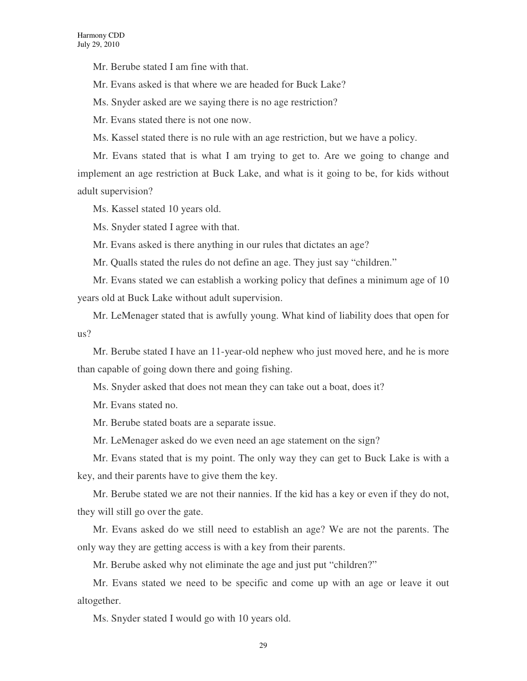Mr. Berube stated I am fine with that.

Mr. Evans asked is that where we are headed for Buck Lake?

Ms. Snyder asked are we saying there is no age restriction?

Mr. Evans stated there is not one now.

Ms. Kassel stated there is no rule with an age restriction, but we have a policy.

Mr. Evans stated that is what I am trying to get to. Are we going to change and implement an age restriction at Buck Lake, and what is it going to be, for kids without adult supervision?

Ms. Kassel stated 10 years old.

Ms. Snyder stated I agree with that.

Mr. Evans asked is there anything in our rules that dictates an age?

Mr. Qualls stated the rules do not define an age. They just say "children."

Mr. Evans stated we can establish a working policy that defines a minimum age of 10 years old at Buck Lake without adult supervision.

Mr. LeMenager stated that is awfully young. What kind of liability does that open for us?

Mr. Berube stated I have an 11-year-old nephew who just moved here, and he is more than capable of going down there and going fishing.

Ms. Snyder asked that does not mean they can take out a boat, does it?

Mr. Evans stated no.

Mr. Berube stated boats are a separate issue.

Mr. LeMenager asked do we even need an age statement on the sign?

Mr. Evans stated that is my point. The only way they can get to Buck Lake is with a key, and their parents have to give them the key.

Mr. Berube stated we are not their nannies. If the kid has a key or even if they do not, they will still go over the gate.

Mr. Evans asked do we still need to establish an age? We are not the parents. The only way they are getting access is with a key from their parents.

Mr. Berube asked why not eliminate the age and just put "children?"

Mr. Evans stated we need to be specific and come up with an age or leave it out altogether.

Ms. Snyder stated I would go with 10 years old.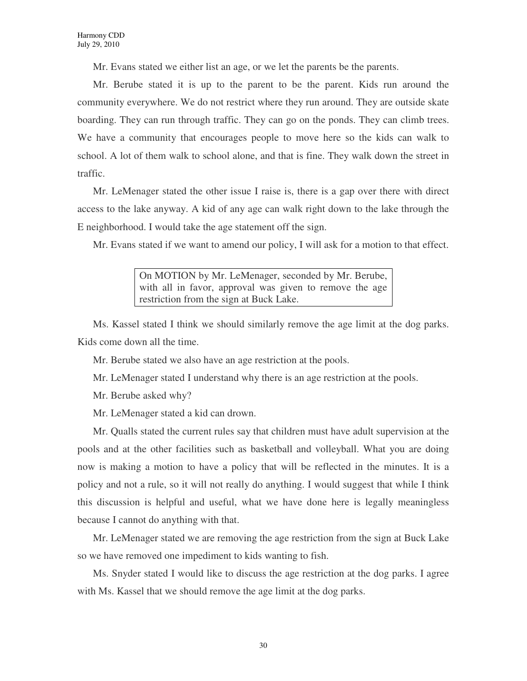Mr. Evans stated we either list an age, or we let the parents be the parents.

Mr. Berube stated it is up to the parent to be the parent. Kids run around the community everywhere. We do not restrict where they run around. They are outside skate boarding. They can run through traffic. They can go on the ponds. They can climb trees. We have a community that encourages people to move here so the kids can walk to school. A lot of them walk to school alone, and that is fine. They walk down the street in traffic.

Mr. LeMenager stated the other issue I raise is, there is a gap over there with direct access to the lake anyway. A kid of any age can walk right down to the lake through the E neighborhood. I would take the age statement off the sign.

Mr. Evans stated if we want to amend our policy, I will ask for a motion to that effect.

On MOTION by Mr. LeMenager, seconded by Mr. Berube, with all in favor, approval was given to remove the age restriction from the sign at Buck Lake.

Ms. Kassel stated I think we should similarly remove the age limit at the dog parks. Kids come down all the time.

Mr. Berube stated we also have an age restriction at the pools.

Mr. LeMenager stated I understand why there is an age restriction at the pools.

Mr. Berube asked why?

Mr. LeMenager stated a kid can drown.

Mr. Qualls stated the current rules say that children must have adult supervision at the pools and at the other facilities such as basketball and volleyball. What you are doing now is making a motion to have a policy that will be reflected in the minutes. It is a policy and not a rule, so it will not really do anything. I would suggest that while I think this discussion is helpful and useful, what we have done here is legally meaningless because I cannot do anything with that.

Mr. LeMenager stated we are removing the age restriction from the sign at Buck Lake so we have removed one impediment to kids wanting to fish.

Ms. Snyder stated I would like to discuss the age restriction at the dog parks. I agree with Ms. Kassel that we should remove the age limit at the dog parks.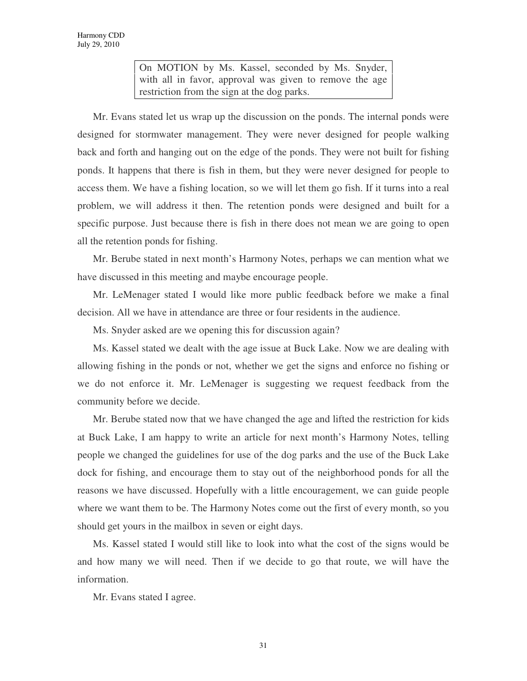On MOTION by Ms. Kassel, seconded by Ms. Snyder, with all in favor, approval was given to remove the age restriction from the sign at the dog parks.

Mr. Evans stated let us wrap up the discussion on the ponds. The internal ponds were designed for stormwater management. They were never designed for people walking back and forth and hanging out on the edge of the ponds. They were not built for fishing ponds. It happens that there is fish in them, but they were never designed for people to access them. We have a fishing location, so we will let them go fish. If it turns into a real problem, we will address it then. The retention ponds were designed and built for a specific purpose. Just because there is fish in there does not mean we are going to open all the retention ponds for fishing.

Mr. Berube stated in next month's Harmony Notes, perhaps we can mention what we have discussed in this meeting and maybe encourage people.

Mr. LeMenager stated I would like more public feedback before we make a final decision. All we have in attendance are three or four residents in the audience.

Ms. Snyder asked are we opening this for discussion again?

Ms. Kassel stated we dealt with the age issue at Buck Lake. Now we are dealing with allowing fishing in the ponds or not, whether we get the signs and enforce no fishing or we do not enforce it. Mr. LeMenager is suggesting we request feedback from the community before we decide.

Mr. Berube stated now that we have changed the age and lifted the restriction for kids at Buck Lake, I am happy to write an article for next month's Harmony Notes, telling people we changed the guidelines for use of the dog parks and the use of the Buck Lake dock for fishing, and encourage them to stay out of the neighborhood ponds for all the reasons we have discussed. Hopefully with a little encouragement, we can guide people where we want them to be. The Harmony Notes come out the first of every month, so you should get yours in the mailbox in seven or eight days.

Ms. Kassel stated I would still like to look into what the cost of the signs would be and how many we will need. Then if we decide to go that route, we will have the information.

Mr. Evans stated I agree.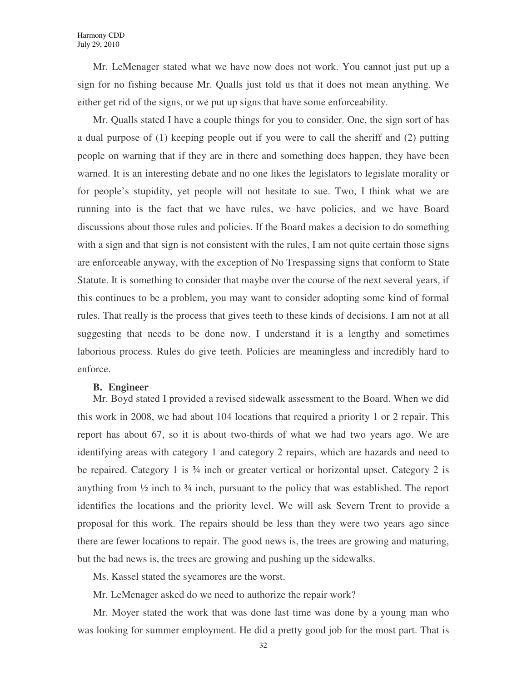Mr. LeMenager stated what we have now does not work. You cannot just put up a sign for no fishing because Mr. Qualls just told us that it does not mean anything. We either get rid of the signs, or we put up signs that have some enforceability.

Mr. Qualls stated I have a couple things for you to consider. One, the sign sort of has a dual purpose of (1) keeping people out if you were to call the sheriff and (2) putting people on warning that if they are in there and something does happen, they have been warned. It is an interesting debate and no one likes the legislators to legislate morality or for people's stupidity, yet people will not hesitate to sue. Two, I think what we are running into is the fact that we have rules, we have policies, and we have Board discussions about those rules and policies. If the Board makes a decision to do something with a sign and that sign is not consistent with the rules, I am not quite certain those signs are enforceable anyway, with the exception of No Trespassing signs that conform to State Statute. It is something to consider that maybe over the course of the next several years, if this continues to be a problem, you may want to consider adopting some kind of formal rules. That really is the process that gives teeth to these kinds of decisions. I am not at all suggesting that needs to be done now. I understand it is a lengthy and sometimes laborious process. Rules do give teeth. Policies are meaningless and incredibly hard to enforce.

### **B. Engineer**

Mr. Boyd stated I provided a revised sidewalk assessment to the Board. When we did this work in 2008, we had about 104 locations that required a priority 1 or 2 repair. This report has about 67, so it is about two-thirds of what we had two years ago. We are identifying areas with category 1 and category 2 repairs, which are hazards and need to be repaired. Category 1 is  $\frac{3}{4}$  inch or greater vertical or horizontal upset. Category 2 is anything from  $\frac{1}{2}$  inch to  $\frac{3}{4}$  inch, pursuant to the policy that was established. The report identifies the locations and the priority level. We will ask Severn Trent to provide a proposal for this work. The repairs should be less than they were two years ago since there are fewer locations to repair. The good news is, the trees are growing and maturing, but the bad news is, the trees are growing and pushing up the sidewalks.

Ms. Kassel stated the sycamores are the worst.

Mr. LeMenager asked do we need to authorize the repair work?

Mr. Moyer stated the work that was done last time was done by a young man who was looking for summer employment. He did a pretty good job for the most part. That is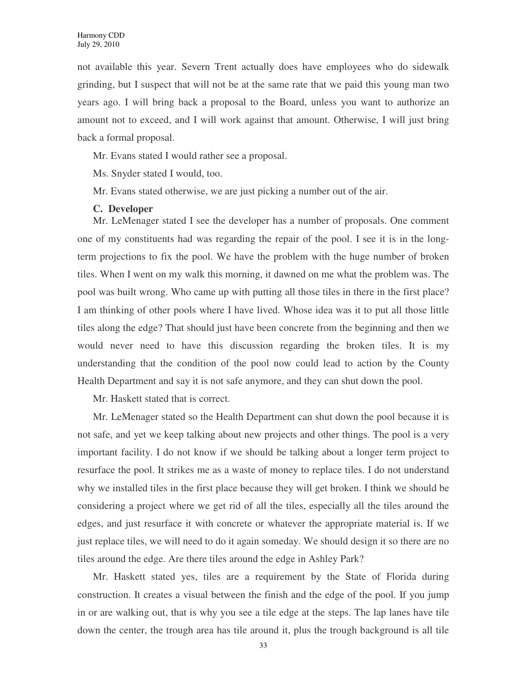not available this year. Severn Trent actually does have employees who do sidewalk grinding, but I suspect that will not be at the same rate that we paid this young man two years ago. I will bring back a proposal to the Board, unless you want to authorize an amount not to exceed, and I will work against that amount. Otherwise, I will just bring back a formal proposal.

Mr. Evans stated I would rather see a proposal.

Ms. Snyder stated I would, too.

Mr. Evans stated otherwise, we are just picking a number out of the air.

#### **C. Developer**

Mr. LeMenager stated I see the developer has a number of proposals. One comment one of my constituents had was regarding the repair of the pool. I see it is in the longterm projections to fix the pool. We have the problem with the huge number of broken tiles. When I went on my walk this morning, it dawned on me what the problem was. The pool was built wrong. Who came up with putting all those tiles in there in the first place? I am thinking of other pools where I have lived. Whose idea was it to put all those little tiles along the edge? That should just have been concrete from the beginning and then we would never need to have this discussion regarding the broken tiles. It is my understanding that the condition of the pool now could lead to action by the County Health Department and say it is not safe anymore, and they can shut down the pool.

Mr. Haskett stated that is correct.

Mr. LeMenager stated so the Health Department can shut down the pool because it is not safe, and yet we keep talking about new projects and other things. The pool is a very important facility. I do not know if we should be talking about a longer term project to resurface the pool. It strikes me as a waste of money to replace tiles. I do not understand why we installed tiles in the first place because they will get broken. I think we should be considering a project where we get rid of all the tiles, especially all the tiles around the edges, and just resurface it with concrete or whatever the appropriate material is. If we just replace tiles, we will need to do it again someday. We should design it so there are no tiles around the edge. Are there tiles around the edge in Ashley Park?

Mr. Haskett stated yes, tiles are a requirement by the State of Florida during construction. It creates a visual between the finish and the edge of the pool. If you jump in or are walking out, that is why you see a tile edge at the steps. The lap lanes have tile down the center, the trough area has tile around it, plus the trough background is all tile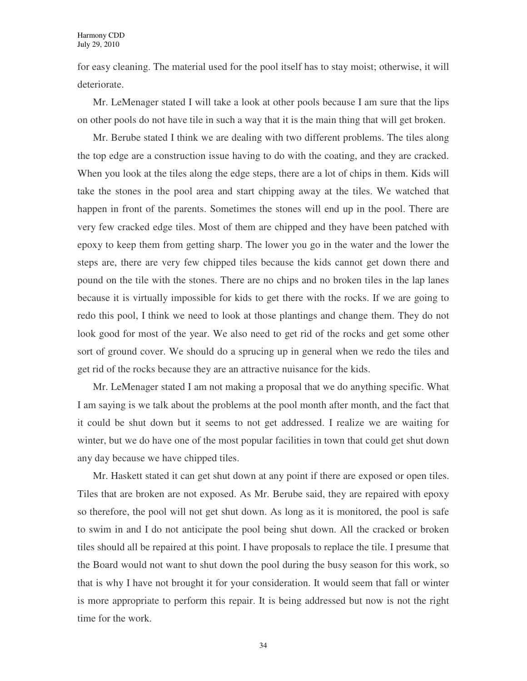for easy cleaning. The material used for the pool itself has to stay moist; otherwise, it will deteriorate.

Mr. LeMenager stated I will take a look at other pools because I am sure that the lips on other pools do not have tile in such a way that it is the main thing that will get broken.

Mr. Berube stated I think we are dealing with two different problems. The tiles along the top edge are a construction issue having to do with the coating, and they are cracked. When you look at the tiles along the edge steps, there are a lot of chips in them. Kids will take the stones in the pool area and start chipping away at the tiles. We watched that happen in front of the parents. Sometimes the stones will end up in the pool. There are very few cracked edge tiles. Most of them are chipped and they have been patched with epoxy to keep them from getting sharp. The lower you go in the water and the lower the steps are, there are very few chipped tiles because the kids cannot get down there and pound on the tile with the stones. There are no chips and no broken tiles in the lap lanes because it is virtually impossible for kids to get there with the rocks. If we are going to redo this pool, I think we need to look at those plantings and change them. They do not look good for most of the year. We also need to get rid of the rocks and get some other sort of ground cover. We should do a sprucing up in general when we redo the tiles and get rid of the rocks because they are an attractive nuisance for the kids.

Mr. LeMenager stated I am not making a proposal that we do anything specific. What I am saying is we talk about the problems at the pool month after month, and the fact that it could be shut down but it seems to not get addressed. I realize we are waiting for winter, but we do have one of the most popular facilities in town that could get shut down any day because we have chipped tiles.

Mr. Haskett stated it can get shut down at any point if there are exposed or open tiles. Tiles that are broken are not exposed. As Mr. Berube said, they are repaired with epoxy so therefore, the pool will not get shut down. As long as it is monitored, the pool is safe to swim in and I do not anticipate the pool being shut down. All the cracked or broken tiles should all be repaired at this point. I have proposals to replace the tile. I presume that the Board would not want to shut down the pool during the busy season for this work, so that is why I have not brought it for your consideration. It would seem that fall or winter is more appropriate to perform this repair. It is being addressed but now is not the right time for the work.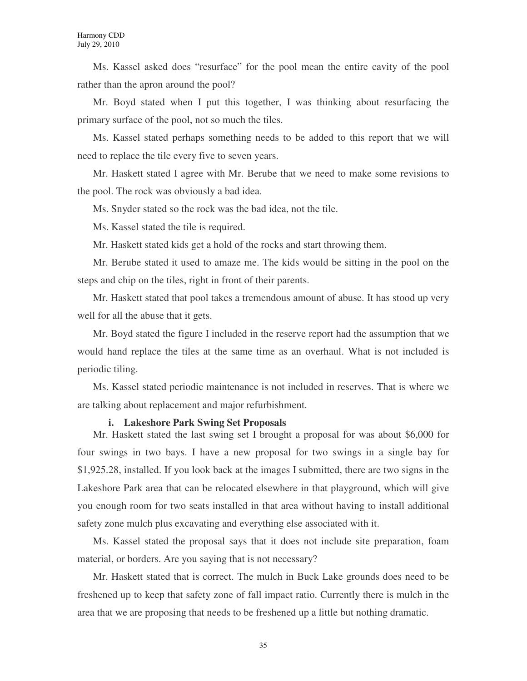Ms. Kassel asked does "resurface" for the pool mean the entire cavity of the pool rather than the apron around the pool?

Mr. Boyd stated when I put this together, I was thinking about resurfacing the primary surface of the pool, not so much the tiles.

Ms. Kassel stated perhaps something needs to be added to this report that we will need to replace the tile every five to seven years.

Mr. Haskett stated I agree with Mr. Berube that we need to make some revisions to the pool. The rock was obviously a bad idea.

Ms. Snyder stated so the rock was the bad idea, not the tile.

Ms. Kassel stated the tile is required.

Mr. Haskett stated kids get a hold of the rocks and start throwing them.

Mr. Berube stated it used to amaze me. The kids would be sitting in the pool on the steps and chip on the tiles, right in front of their parents.

Mr. Haskett stated that pool takes a tremendous amount of abuse. It has stood up very well for all the abuse that it gets.

Mr. Boyd stated the figure I included in the reserve report had the assumption that we would hand replace the tiles at the same time as an overhaul. What is not included is periodic tiling.

Ms. Kassel stated periodic maintenance is not included in reserves. That is where we are talking about replacement and major refurbishment.

### **i. Lakeshore Park Swing Set Proposals**

Mr. Haskett stated the last swing set I brought a proposal for was about \$6,000 for four swings in two bays. I have a new proposal for two swings in a single bay for \$1,925.28, installed. If you look back at the images I submitted, there are two signs in the Lakeshore Park area that can be relocated elsewhere in that playground, which will give you enough room for two seats installed in that area without having to install additional safety zone mulch plus excavating and everything else associated with it.

Ms. Kassel stated the proposal says that it does not include site preparation, foam material, or borders. Are you saying that is not necessary?

Mr. Haskett stated that is correct. The mulch in Buck Lake grounds does need to be freshened up to keep that safety zone of fall impact ratio. Currently there is mulch in the area that we are proposing that needs to be freshened up a little but nothing dramatic.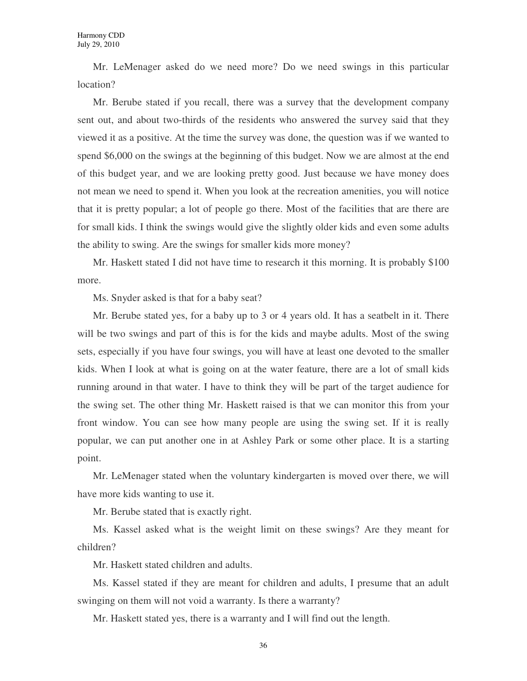Mr. LeMenager asked do we need more? Do we need swings in this particular location?

Mr. Berube stated if you recall, there was a survey that the development company sent out, and about two-thirds of the residents who answered the survey said that they viewed it as a positive. At the time the survey was done, the question was if we wanted to spend \$6,000 on the swings at the beginning of this budget. Now we are almost at the end of this budget year, and we are looking pretty good. Just because we have money does not mean we need to spend it. When you look at the recreation amenities, you will notice that it is pretty popular; a lot of people go there. Most of the facilities that are there are for small kids. I think the swings would give the slightly older kids and even some adults the ability to swing. Are the swings for smaller kids more money?

Mr. Haskett stated I did not have time to research it this morning. It is probably \$100 more.

Ms. Snyder asked is that for a baby seat?

Mr. Berube stated yes, for a baby up to 3 or 4 years old. It has a seatbelt in it. There will be two swings and part of this is for the kids and maybe adults. Most of the swing sets, especially if you have four swings, you will have at least one devoted to the smaller kids. When I look at what is going on at the water feature, there are a lot of small kids running around in that water. I have to think they will be part of the target audience for the swing set. The other thing Mr. Haskett raised is that we can monitor this from your front window. You can see how many people are using the swing set. If it is really popular, we can put another one in at Ashley Park or some other place. It is a starting point.

Mr. LeMenager stated when the voluntary kindergarten is moved over there, we will have more kids wanting to use it.

Mr. Berube stated that is exactly right.

Ms. Kassel asked what is the weight limit on these swings? Are they meant for children?

Mr. Haskett stated children and adults.

Ms. Kassel stated if they are meant for children and adults, I presume that an adult swinging on them will not void a warranty. Is there a warranty?

Mr. Haskett stated yes, there is a warranty and I will find out the length.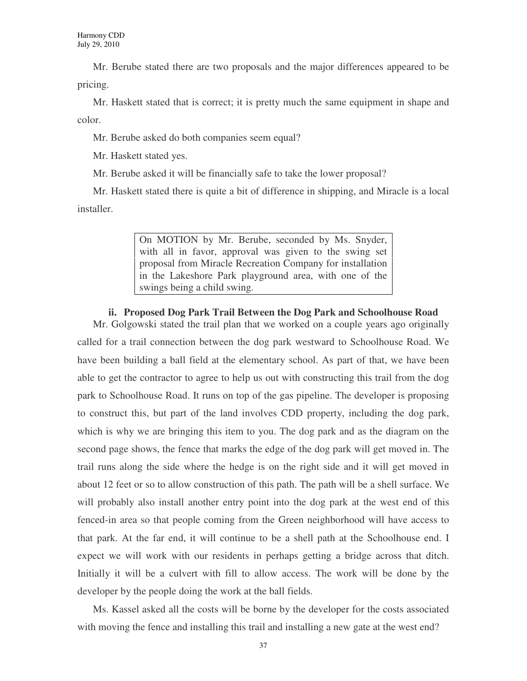Mr. Berube stated there are two proposals and the major differences appeared to be pricing.

Mr. Haskett stated that is correct; it is pretty much the same equipment in shape and color.

Mr. Berube asked do both companies seem equal?

Mr. Haskett stated yes.

Mr. Berube asked it will be financially safe to take the lower proposal?

Mr. Haskett stated there is quite a bit of difference in shipping, and Miracle is a local installer.

> On MOTION by Mr. Berube, seconded by Ms. Snyder, with all in favor, approval was given to the swing set proposal from Miracle Recreation Company for installation in the Lakeshore Park playground area, with one of the swings being a child swing.

# **ii. Proposed Dog Park Trail Between the Dog Park and Schoolhouse Road**

Mr. Golgowski stated the trail plan that we worked on a couple years ago originally called for a trail connection between the dog park westward to Schoolhouse Road. We have been building a ball field at the elementary school. As part of that, we have been able to get the contractor to agree to help us out with constructing this trail from the dog park to Schoolhouse Road. It runs on top of the gas pipeline. The developer is proposing to construct this, but part of the land involves CDD property, including the dog park, which is why we are bringing this item to you. The dog park and as the diagram on the second page shows, the fence that marks the edge of the dog park will get moved in. The trail runs along the side where the hedge is on the right side and it will get moved in about 12 feet or so to allow construction of this path. The path will be a shell surface. We will probably also install another entry point into the dog park at the west end of this fenced-in area so that people coming from the Green neighborhood will have access to that park. At the far end, it will continue to be a shell path at the Schoolhouse end. I expect we will work with our residents in perhaps getting a bridge across that ditch. Initially it will be a culvert with fill to allow access. The work will be done by the developer by the people doing the work at the ball fields.

Ms. Kassel asked all the costs will be borne by the developer for the costs associated with moving the fence and installing this trail and installing a new gate at the west end?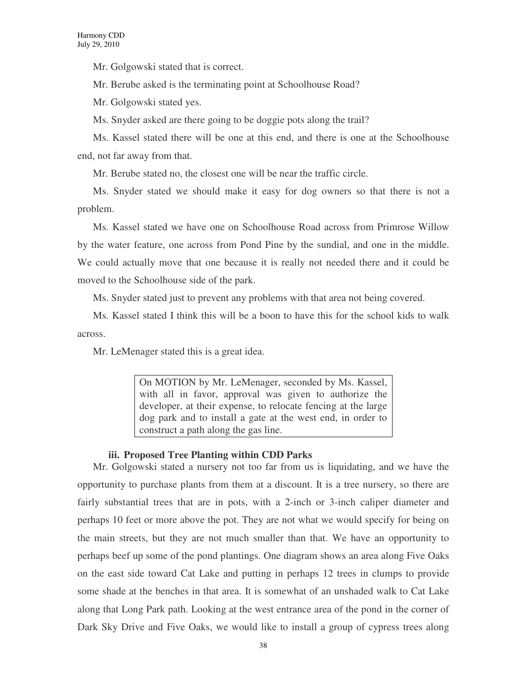Mr. Golgowski stated that is correct.

Mr. Berube asked is the terminating point at Schoolhouse Road?

Mr. Golgowski stated yes.

Ms. Snyder asked are there going to be doggie pots along the trail?

Ms. Kassel stated there will be one at this end, and there is one at the Schoolhouse end, not far away from that.

Mr. Berube stated no, the closest one will be near the traffic circle.

Ms. Snyder stated we should make it easy for dog owners so that there is not a problem.

Ms. Kassel stated we have one on Schoolhouse Road across from Primrose Willow by the water feature, one across from Pond Pine by the sundial, and one in the middle. We could actually move that one because it is really not needed there and it could be moved to the Schoolhouse side of the park.

Ms. Snyder stated just to prevent any problems with that area not being covered.

Ms. Kassel stated I think this will be a boon to have this for the school kids to walk across.

Mr. LeMenager stated this is a great idea.

On MOTION by Mr. LeMenager, seconded by Ms. Kassel, with all in favor, approval was given to authorize the developer, at their expense, to relocate fencing at the large dog park and to install a gate at the west end, in order to construct a path along the gas line.

### **iii. Proposed Tree Planting within CDD Parks**

Mr. Golgowski stated a nursery not too far from us is liquidating, and we have the opportunity to purchase plants from them at a discount. It is a tree nursery, so there are fairly substantial trees that are in pots, with a 2-inch or 3-inch caliper diameter and perhaps 10 feet or more above the pot. They are not what we would specify for being on the main streets, but they are not much smaller than that. We have an opportunity to perhaps beef up some of the pond plantings. One diagram shows an area along Five Oaks on the east side toward Cat Lake and putting in perhaps 12 trees in clumps to provide some shade at the benches in that area. It is somewhat of an unshaded walk to Cat Lake along that Long Park path. Looking at the west entrance area of the pond in the corner of Dark Sky Drive and Five Oaks, we would like to install a group of cypress trees along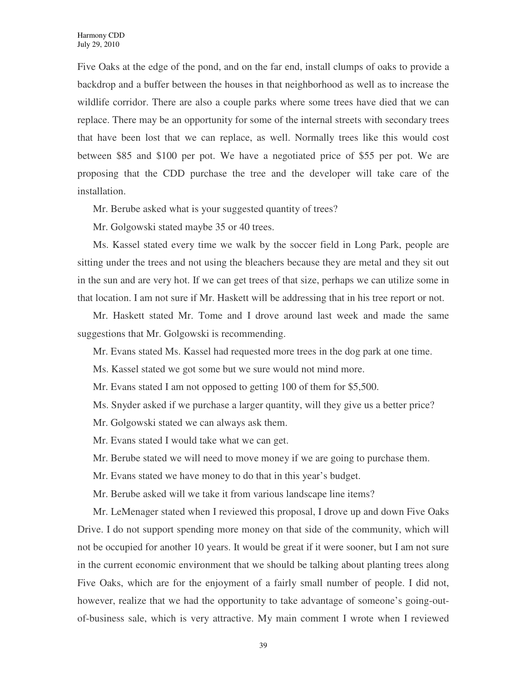Five Oaks at the edge of the pond, and on the far end, install clumps of oaks to provide a backdrop and a buffer between the houses in that neighborhood as well as to increase the wildlife corridor. There are also a couple parks where some trees have died that we can replace. There may be an opportunity for some of the internal streets with secondary trees that have been lost that we can replace, as well. Normally trees like this would cost between \$85 and \$100 per pot. We have a negotiated price of \$55 per pot. We are proposing that the CDD purchase the tree and the developer will take care of the installation.

Mr. Berube asked what is your suggested quantity of trees?

Mr. Golgowski stated maybe 35 or 40 trees.

Ms. Kassel stated every time we walk by the soccer field in Long Park, people are sitting under the trees and not using the bleachers because they are metal and they sit out in the sun and are very hot. If we can get trees of that size, perhaps we can utilize some in that location. I am not sure if Mr. Haskett will be addressing that in his tree report or not.

Mr. Haskett stated Mr. Tome and I drove around last week and made the same suggestions that Mr. Golgowski is recommending.

Mr. Evans stated Ms. Kassel had requested more trees in the dog park at one time.

Ms. Kassel stated we got some but we sure would not mind more.

Mr. Evans stated I am not opposed to getting 100 of them for \$5,500.

Ms. Snyder asked if we purchase a larger quantity, will they give us a better price?

Mr. Golgowski stated we can always ask them.

Mr. Evans stated I would take what we can get.

Mr. Berube stated we will need to move money if we are going to purchase them.

Mr. Evans stated we have money to do that in this year's budget.

Mr. Berube asked will we take it from various landscape line items?

Mr. LeMenager stated when I reviewed this proposal, I drove up and down Five Oaks Drive. I do not support spending more money on that side of the community, which will not be occupied for another 10 years. It would be great if it were sooner, but I am not sure in the current economic environment that we should be talking about planting trees along Five Oaks, which are for the enjoyment of a fairly small number of people. I did not, however, realize that we had the opportunity to take advantage of someone's going-outof-business sale, which is very attractive. My main comment I wrote when I reviewed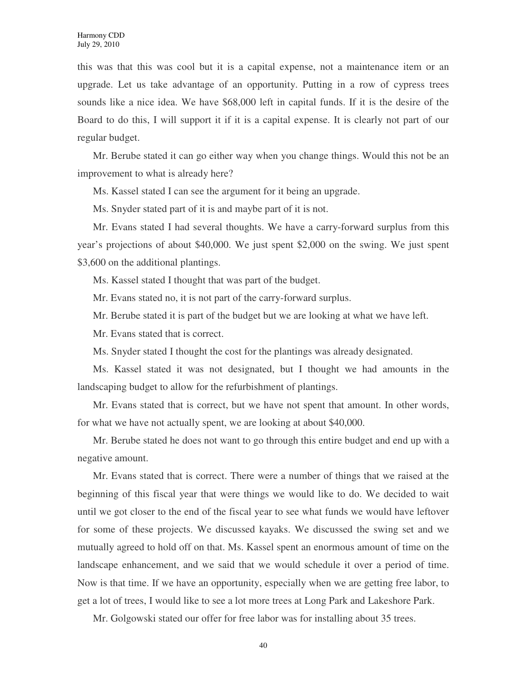this was that this was cool but it is a capital expense, not a maintenance item or an upgrade. Let us take advantage of an opportunity. Putting in a row of cypress trees sounds like a nice idea. We have \$68,000 left in capital funds. If it is the desire of the Board to do this, I will support it if it is a capital expense. It is clearly not part of our regular budget.

Mr. Berube stated it can go either way when you change things. Would this not be an improvement to what is already here?

Ms. Kassel stated I can see the argument for it being an upgrade.

Ms. Snyder stated part of it is and maybe part of it is not.

Mr. Evans stated I had several thoughts. We have a carry-forward surplus from this year's projections of about \$40,000. We just spent \$2,000 on the swing. We just spent \$3,600 on the additional plantings.

Ms. Kassel stated I thought that was part of the budget.

Mr. Evans stated no, it is not part of the carry-forward surplus.

Mr. Berube stated it is part of the budget but we are looking at what we have left.

Mr. Evans stated that is correct.

Ms. Snyder stated I thought the cost for the plantings was already designated.

Ms. Kassel stated it was not designated, but I thought we had amounts in the landscaping budget to allow for the refurbishment of plantings.

Mr. Evans stated that is correct, but we have not spent that amount. In other words, for what we have not actually spent, we are looking at about \$40,000.

Mr. Berube stated he does not want to go through this entire budget and end up with a negative amount.

Mr. Evans stated that is correct. There were a number of things that we raised at the beginning of this fiscal year that were things we would like to do. We decided to wait until we got closer to the end of the fiscal year to see what funds we would have leftover for some of these projects. We discussed kayaks. We discussed the swing set and we mutually agreed to hold off on that. Ms. Kassel spent an enormous amount of time on the landscape enhancement, and we said that we would schedule it over a period of time. Now is that time. If we have an opportunity, especially when we are getting free labor, to get a lot of trees, I would like to see a lot more trees at Long Park and Lakeshore Park.

Mr. Golgowski stated our offer for free labor was for installing about 35 trees.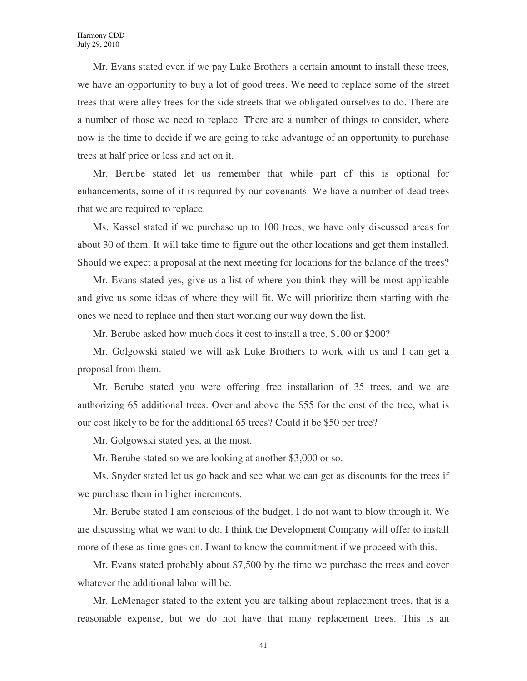Mr. Evans stated even if we pay Luke Brothers a certain amount to install these trees, we have an opportunity to buy a lot of good trees. We need to replace some of the street trees that were alley trees for the side streets that we obligated ourselves to do. There are a number of those we need to replace. There are a number of things to consider, where now is the time to decide if we are going to take advantage of an opportunity to purchase trees at half price or less and act on it.

Mr. Berube stated let us remember that while part of this is optional for enhancements, some of it is required by our covenants. We have a number of dead trees that we are required to replace.

Ms. Kassel stated if we purchase up to 100 trees, we have only discussed areas for about 30 of them. It will take time to figure out the other locations and get them installed. Should we expect a proposal at the next meeting for locations for the balance of the trees?

Mr. Evans stated yes, give us a list of where you think they will be most applicable and give us some ideas of where they will fit. We will prioritize them starting with the ones we need to replace and then start working our way down the list.

Mr. Berube asked how much does it cost to install a tree, \$100 or \$200?

Mr. Golgowski stated we will ask Luke Brothers to work with us and I can get a proposal from them.

Mr. Berube stated you were offering free installation of 35 trees, and we are authorizing 65 additional trees. Over and above the \$55 for the cost of the tree, what is our cost likely to be for the additional 65 trees? Could it be \$50 per tree?

Mr. Golgowski stated yes, at the most.

Mr. Berube stated so we are looking at another \$3,000 or so.

Ms. Snyder stated let us go back and see what we can get as discounts for the trees if we purchase them in higher increments.

Mr. Berube stated I am conscious of the budget. I do not want to blow through it. We are discussing what we want to do. I think the Development Company will offer to install more of these as time goes on. I want to know the commitment if we proceed with this.

Mr. Evans stated probably about \$7,500 by the time we purchase the trees and cover whatever the additional labor will be.

Mr. LeMenager stated to the extent you are talking about replacement trees, that is a reasonable expense, but we do not have that many replacement trees. This is an

41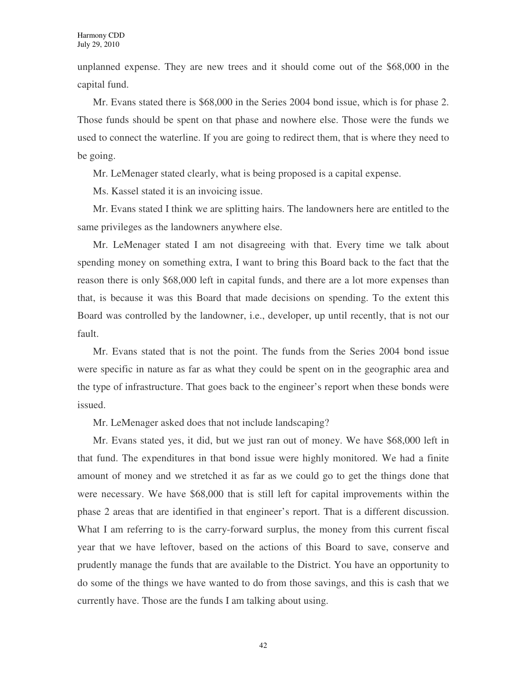unplanned expense. They are new trees and it should come out of the \$68,000 in the capital fund.

Mr. Evans stated there is \$68,000 in the Series 2004 bond issue, which is for phase 2. Those funds should be spent on that phase and nowhere else. Those were the funds we used to connect the waterline. If you are going to redirect them, that is where they need to be going.

Mr. LeMenager stated clearly, what is being proposed is a capital expense.

Ms. Kassel stated it is an invoicing issue.

Mr. Evans stated I think we are splitting hairs. The landowners here are entitled to the same privileges as the landowners anywhere else.

Mr. LeMenager stated I am not disagreeing with that. Every time we talk about spending money on something extra, I want to bring this Board back to the fact that the reason there is only \$68,000 left in capital funds, and there are a lot more expenses than that, is because it was this Board that made decisions on spending. To the extent this Board was controlled by the landowner, i.e., developer, up until recently, that is not our fault.

Mr. Evans stated that is not the point. The funds from the Series 2004 bond issue were specific in nature as far as what they could be spent on in the geographic area and the type of infrastructure. That goes back to the engineer's report when these bonds were issued.

Mr. LeMenager asked does that not include landscaping?

Mr. Evans stated yes, it did, but we just ran out of money. We have \$68,000 left in that fund. The expenditures in that bond issue were highly monitored. We had a finite amount of money and we stretched it as far as we could go to get the things done that were necessary. We have \$68,000 that is still left for capital improvements within the phase 2 areas that are identified in that engineer's report. That is a different discussion. What I am referring to is the carry-forward surplus, the money from this current fiscal year that we have leftover, based on the actions of this Board to save, conserve and prudently manage the funds that are available to the District. You have an opportunity to do some of the things we have wanted to do from those savings, and this is cash that we currently have. Those are the funds I am talking about using.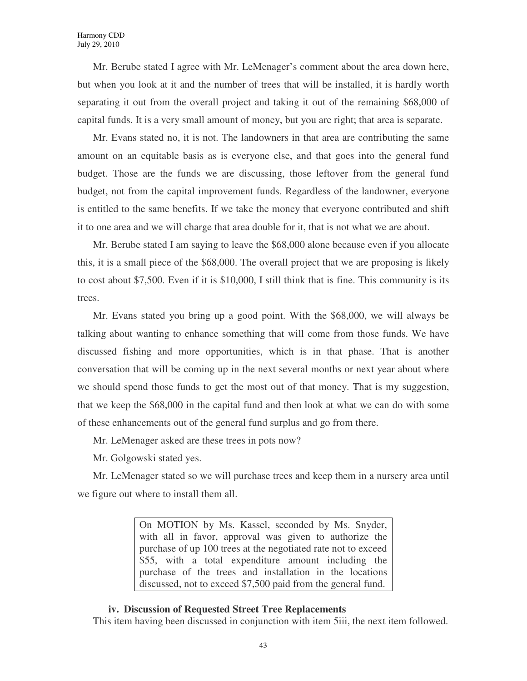Mr. Berube stated I agree with Mr. LeMenager's comment about the area down here, but when you look at it and the number of trees that will be installed, it is hardly worth separating it out from the overall project and taking it out of the remaining \$68,000 of capital funds. It is a very small amount of money, but you are right; that area is separate.

Mr. Evans stated no, it is not. The landowners in that area are contributing the same amount on an equitable basis as is everyone else, and that goes into the general fund budget. Those are the funds we are discussing, those leftover from the general fund budget, not from the capital improvement funds. Regardless of the landowner, everyone is entitled to the same benefits. If we take the money that everyone contributed and shift it to one area and we will charge that area double for it, that is not what we are about.

Mr. Berube stated I am saying to leave the \$68,000 alone because even if you allocate this, it is a small piece of the \$68,000. The overall project that we are proposing is likely to cost about \$7,500. Even if it is \$10,000, I still think that is fine. This community is its trees.

Mr. Evans stated you bring up a good point. With the \$68,000, we will always be talking about wanting to enhance something that will come from those funds. We have discussed fishing and more opportunities, which is in that phase. That is another conversation that will be coming up in the next several months or next year about where we should spend those funds to get the most out of that money. That is my suggestion, that we keep the \$68,000 in the capital fund and then look at what we can do with some of these enhancements out of the general fund surplus and go from there.

Mr. LeMenager asked are these trees in pots now?

Mr. Golgowski stated yes.

Mr. LeMenager stated so we will purchase trees and keep them in a nursery area until we figure out where to install them all.

> On MOTION by Ms. Kassel, seconded by Ms. Snyder, with all in favor, approval was given to authorize the purchase of up 100 trees at the negotiated rate not to exceed \$55, with a total expenditure amount including the purchase of the trees and installation in the locations discussed, not to exceed \$7,500 paid from the general fund.

# **iv. Discussion of Requested Street Tree Replacements**

This item having been discussed in conjunction with item 5iii, the next item followed.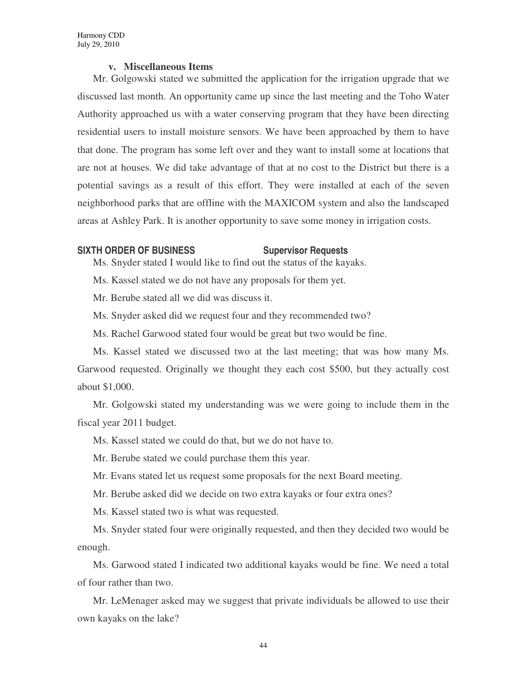### **v. Miscellaneous Items**

Mr. Golgowski stated we submitted the application for the irrigation upgrade that we discussed last month. An opportunity came up since the last meeting and the Toho Water Authority approached us with a water conserving program that they have been directing residential users to install moisture sensors. We have been approached by them to have that done. The program has some left over and they want to install some at locations that are not at houses. We did take advantage of that at no cost to the District but there is a potential savings as a result of this effort. They were installed at each of the seven neighborhood parks that are offline with the MAXICOM system and also the landscaped areas at Ashley Park. It is another opportunity to save some money in irrigation costs.

#### **SIXTH ORDER OF BUSINESS Supervisor Requests**

Ms. Snyder stated I would like to find out the status of the kayaks.

Ms. Kassel stated we do not have any proposals for them yet.

Mr. Berube stated all we did was discuss it.

Ms. Snyder asked did we request four and they recommended two?

Ms. Rachel Garwood stated four would be great but two would be fine.

Ms. Kassel stated we discussed two at the last meeting; that was how many Ms. Garwood requested. Originally we thought they each cost \$500, but they actually cost about \$1,000.

Mr. Golgowski stated my understanding was we were going to include them in the fiscal year 2011 budget.

Ms. Kassel stated we could do that, but we do not have to.

Mr. Berube stated we could purchase them this year.

Mr. Evans stated let us request some proposals for the next Board meeting.

Mr. Berube asked did we decide on two extra kayaks or four extra ones?

Ms. Kassel stated two is what was requested.

Ms. Snyder stated four were originally requested, and then they decided two would be enough.

Ms. Garwood stated I indicated two additional kayaks would be fine. We need a total of four rather than two.

Mr. LeMenager asked may we suggest that private individuals be allowed to use their own kayaks on the lake?

44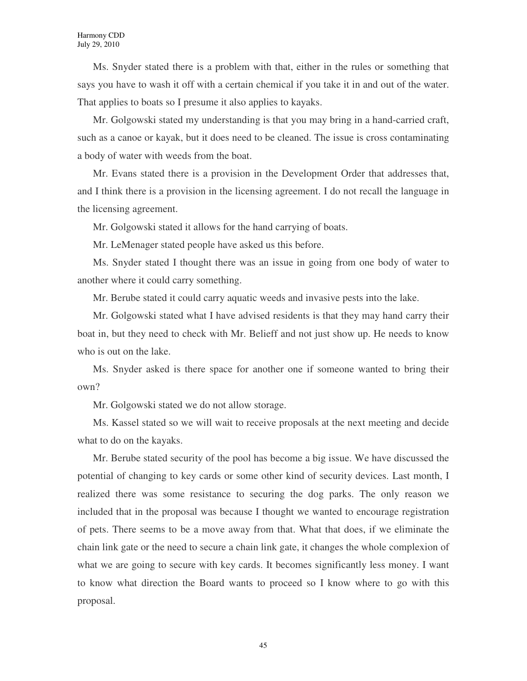Ms. Snyder stated there is a problem with that, either in the rules or something that says you have to wash it off with a certain chemical if you take it in and out of the water. That applies to boats so I presume it also applies to kayaks.

Mr. Golgowski stated my understanding is that you may bring in a hand-carried craft, such as a canoe or kayak, but it does need to be cleaned. The issue is cross contaminating a body of water with weeds from the boat.

Mr. Evans stated there is a provision in the Development Order that addresses that, and I think there is a provision in the licensing agreement. I do not recall the language in the licensing agreement.

Mr. Golgowski stated it allows for the hand carrying of boats.

Mr. LeMenager stated people have asked us this before.

Ms. Snyder stated I thought there was an issue in going from one body of water to another where it could carry something.

Mr. Berube stated it could carry aquatic weeds and invasive pests into the lake.

Mr. Golgowski stated what I have advised residents is that they may hand carry their boat in, but they need to check with Mr. Belieff and not just show up. He needs to know who is out on the lake.

Ms. Snyder asked is there space for another one if someone wanted to bring their own?

Mr. Golgowski stated we do not allow storage.

Ms. Kassel stated so we will wait to receive proposals at the next meeting and decide what to do on the kayaks.

Mr. Berube stated security of the pool has become a big issue. We have discussed the potential of changing to key cards or some other kind of security devices. Last month, I realized there was some resistance to securing the dog parks. The only reason we included that in the proposal was because I thought we wanted to encourage registration of pets. There seems to be a move away from that. What that does, if we eliminate the chain link gate or the need to secure a chain link gate, it changes the whole complexion of what we are going to secure with key cards. It becomes significantly less money. I want to know what direction the Board wants to proceed so I know where to go with this proposal.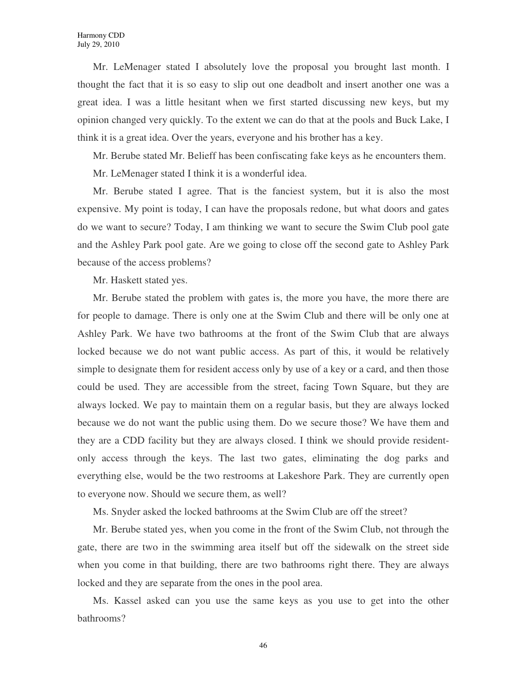Mr. LeMenager stated I absolutely love the proposal you brought last month. I thought the fact that it is so easy to slip out one deadbolt and insert another one was a great idea. I was a little hesitant when we first started discussing new keys, but my opinion changed very quickly. To the extent we can do that at the pools and Buck Lake, I think it is a great idea. Over the years, everyone and his brother has a key.

Mr. Berube stated Mr. Belieff has been confiscating fake keys as he encounters them.

Mr. LeMenager stated I think it is a wonderful idea.

Mr. Berube stated I agree. That is the fanciest system, but it is also the most expensive. My point is today, I can have the proposals redone, but what doors and gates do we want to secure? Today, I am thinking we want to secure the Swim Club pool gate and the Ashley Park pool gate. Are we going to close off the second gate to Ashley Park because of the access problems?

Mr. Haskett stated yes.

Mr. Berube stated the problem with gates is, the more you have, the more there are for people to damage. There is only one at the Swim Club and there will be only one at Ashley Park. We have two bathrooms at the front of the Swim Club that are always locked because we do not want public access. As part of this, it would be relatively simple to designate them for resident access only by use of a key or a card, and then those could be used. They are accessible from the street, facing Town Square, but they are always locked. We pay to maintain them on a regular basis, but they are always locked because we do not want the public using them. Do we secure those? We have them and they are a CDD facility but they are always closed. I think we should provide residentonly access through the keys. The last two gates, eliminating the dog parks and everything else, would be the two restrooms at Lakeshore Park. They are currently open to everyone now. Should we secure them, as well?

Ms. Snyder asked the locked bathrooms at the Swim Club are off the street?

Mr. Berube stated yes, when you come in the front of the Swim Club, not through the gate, there are two in the swimming area itself but off the sidewalk on the street side when you come in that building, there are two bathrooms right there. They are always locked and they are separate from the ones in the pool area.

Ms. Kassel asked can you use the same keys as you use to get into the other bathrooms?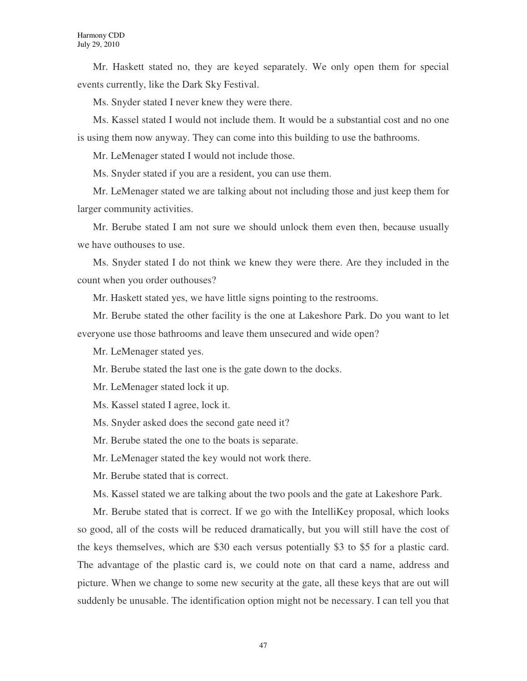Mr. Haskett stated no, they are keyed separately. We only open them for special events currently, like the Dark Sky Festival.

Ms. Snyder stated I never knew they were there.

Ms. Kassel stated I would not include them. It would be a substantial cost and no one is using them now anyway. They can come into this building to use the bathrooms.

Mr. LeMenager stated I would not include those.

Ms. Snyder stated if you are a resident, you can use them.

Mr. LeMenager stated we are talking about not including those and just keep them for larger community activities.

Mr. Berube stated I am not sure we should unlock them even then, because usually we have outhouses to use.

Ms. Snyder stated I do not think we knew they were there. Are they included in the count when you order outhouses?

Mr. Haskett stated yes, we have little signs pointing to the restrooms.

Mr. Berube stated the other facility is the one at Lakeshore Park. Do you want to let everyone use those bathrooms and leave them unsecured and wide open?

Mr. LeMenager stated yes.

Mr. Berube stated the last one is the gate down to the docks.

Mr. LeMenager stated lock it up.

Ms. Kassel stated I agree, lock it.

Ms. Snyder asked does the second gate need it?

Mr. Berube stated the one to the boats is separate.

Mr. LeMenager stated the key would not work there.

Mr. Berube stated that is correct.

Ms. Kassel stated we are talking about the two pools and the gate at Lakeshore Park.

Mr. Berube stated that is correct. If we go with the IntelliKey proposal, which looks so good, all of the costs will be reduced dramatically, but you will still have the cost of the keys themselves, which are \$30 each versus potentially \$3 to \$5 for a plastic card. The advantage of the plastic card is, we could note on that card a name, address and picture. When we change to some new security at the gate, all these keys that are out will suddenly be unusable. The identification option might not be necessary. I can tell you that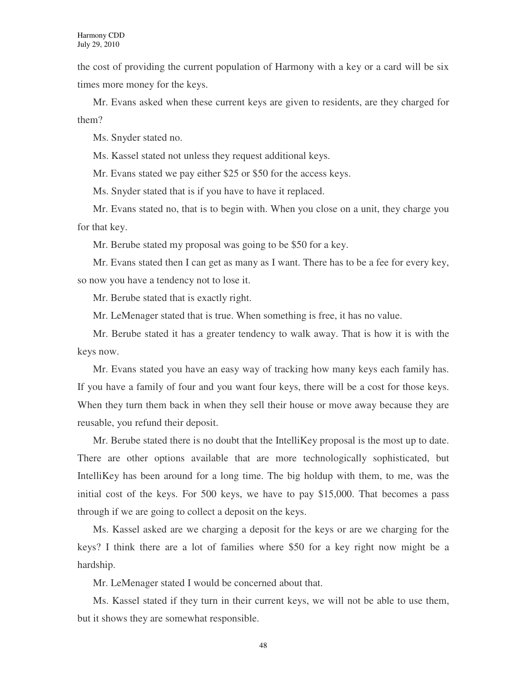the cost of providing the current population of Harmony with a key or a card will be six times more money for the keys.

Mr. Evans asked when these current keys are given to residents, are they charged for them?

Ms. Snyder stated no.

Ms. Kassel stated not unless they request additional keys.

Mr. Evans stated we pay either \$25 or \$50 for the access keys.

Ms. Snyder stated that is if you have to have it replaced.

Mr. Evans stated no, that is to begin with. When you close on a unit, they charge you for that key.

Mr. Berube stated my proposal was going to be \$50 for a key.

Mr. Evans stated then I can get as many as I want. There has to be a fee for every key, so now you have a tendency not to lose it.

Mr. Berube stated that is exactly right.

Mr. LeMenager stated that is true. When something is free, it has no value.

Mr. Berube stated it has a greater tendency to walk away. That is how it is with the keys now.

Mr. Evans stated you have an easy way of tracking how many keys each family has. If you have a family of four and you want four keys, there will be a cost for those keys. When they turn them back in when they sell their house or move away because they are reusable, you refund their deposit.

Mr. Berube stated there is no doubt that the IntelliKey proposal is the most up to date. There are other options available that are more technologically sophisticated, but IntelliKey has been around for a long time. The big holdup with them, to me, was the initial cost of the keys. For 500 keys, we have to pay \$15,000. That becomes a pass through if we are going to collect a deposit on the keys.

Ms. Kassel asked are we charging a deposit for the keys or are we charging for the keys? I think there are a lot of families where \$50 for a key right now might be a hardship.

Mr. LeMenager stated I would be concerned about that.

Ms. Kassel stated if they turn in their current keys, we will not be able to use them, but it shows they are somewhat responsible.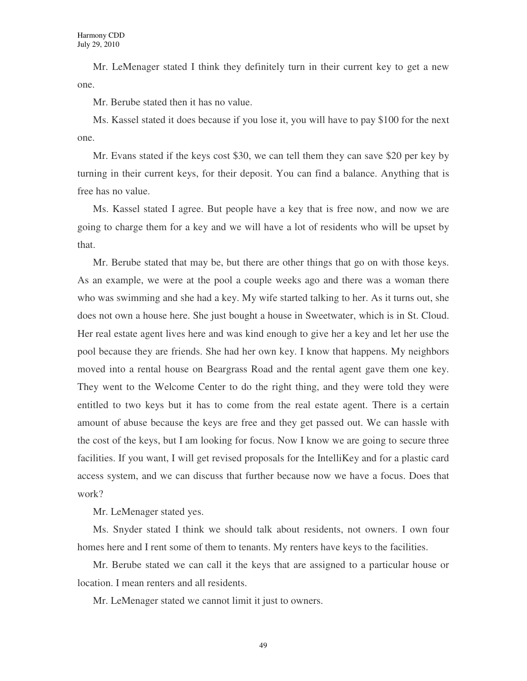Mr. LeMenager stated I think they definitely turn in their current key to get a new one.

Mr. Berube stated then it has no value.

Ms. Kassel stated it does because if you lose it, you will have to pay \$100 for the next one.

Mr. Evans stated if the keys cost \$30, we can tell them they can save \$20 per key by turning in their current keys, for their deposit. You can find a balance. Anything that is free has no value.

Ms. Kassel stated I agree. But people have a key that is free now, and now we are going to charge them for a key and we will have a lot of residents who will be upset by that.

Mr. Berube stated that may be, but there are other things that go on with those keys. As an example, we were at the pool a couple weeks ago and there was a woman there who was swimming and she had a key. My wife started talking to her. As it turns out, she does not own a house here. She just bought a house in Sweetwater, which is in St. Cloud. Her real estate agent lives here and was kind enough to give her a key and let her use the pool because they are friends. She had her own key. I know that happens. My neighbors moved into a rental house on Beargrass Road and the rental agent gave them one key. They went to the Welcome Center to do the right thing, and they were told they were entitled to two keys but it has to come from the real estate agent. There is a certain amount of abuse because the keys are free and they get passed out. We can hassle with the cost of the keys, but I am looking for focus. Now I know we are going to secure three facilities. If you want, I will get revised proposals for the IntelliKey and for a plastic card access system, and we can discuss that further because now we have a focus. Does that work?

Mr. LeMenager stated yes.

Ms. Snyder stated I think we should talk about residents, not owners. I own four homes here and I rent some of them to tenants. My renters have keys to the facilities.

Mr. Berube stated we can call it the keys that are assigned to a particular house or location. I mean renters and all residents.

Mr. LeMenager stated we cannot limit it just to owners.

49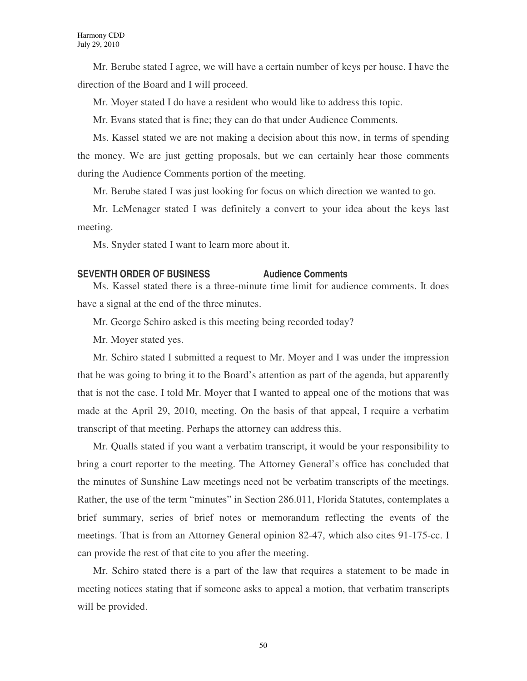Mr. Berube stated I agree, we will have a certain number of keys per house. I have the direction of the Board and I will proceed.

Mr. Moyer stated I do have a resident who would like to address this topic.

Mr. Evans stated that is fine; they can do that under Audience Comments.

Ms. Kassel stated we are not making a decision about this now, in terms of spending the money. We are just getting proposals, but we can certainly hear those comments during the Audience Comments portion of the meeting.

Mr. Berube stated I was just looking for focus on which direction we wanted to go.

Mr. LeMenager stated I was definitely a convert to your idea about the keys last meeting.

Ms. Snyder stated I want to learn more about it.

# **SEVENTH ORDER OF BUSINESS Audience Comments**

Ms. Kassel stated there is a three-minute time limit for audience comments. It does have a signal at the end of the three minutes.

Mr. George Schiro asked is this meeting being recorded today?

Mr. Moyer stated yes.

Mr. Schiro stated I submitted a request to Mr. Moyer and I was under the impression that he was going to bring it to the Board's attention as part of the agenda, but apparently that is not the case. I told Mr. Moyer that I wanted to appeal one of the motions that was made at the April 29, 2010, meeting. On the basis of that appeal, I require a verbatim transcript of that meeting. Perhaps the attorney can address this.

Mr. Qualls stated if you want a verbatim transcript, it would be your responsibility to bring a court reporter to the meeting. The Attorney General's office has concluded that the minutes of Sunshine Law meetings need not be verbatim transcripts of the meetings. Rather, the use of the term "minutes" in Section 286.011, Florida Statutes, contemplates a brief summary, series of brief notes or memorandum reflecting the events of the meetings. That is from an Attorney General opinion 82-47, which also cites 91-175-cc. I can provide the rest of that cite to you after the meeting.

Mr. Schiro stated there is a part of the law that requires a statement to be made in meeting notices stating that if someone asks to appeal a motion, that verbatim transcripts will be provided.